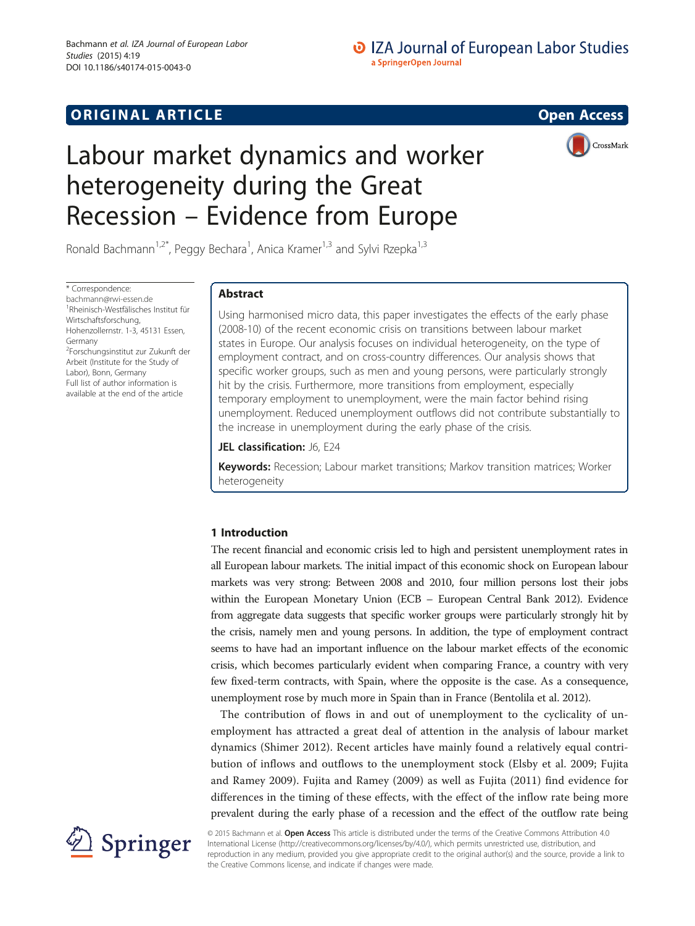## **ORIGINAL ARTICLE CONSUMING A LIGACION** CONSUMING A LIGACION CONSUMING A LIGACION CONSUMING A LIGACION CONSUMING A LIGACION CONSUMING A LIGACION CONSUMING A LIGACION CONSUMING A LIGACION CONSUMING A LIGACION CONSUMING A

# Labour market dynamics and worker heterogeneity during the Great Recession – Evidence from Europe



Ronald Bachmann<sup>1,2\*</sup>, Peggy Bechara<sup>1</sup>, Anica Kramer<sup>1,3</sup> and Sylvi Rzepka<sup>1,3</sup>

\* Correspondence: [bachmann@rwi-essen.de](mailto:bachmann@rwi-essen.de) 1 Rheinisch-Westfälisches Institut für Wirtschaftsforschung, Hohenzollernstr. 1-3, 45131 Essen, Germany 2 Forschungsinstitut zur Zukunft der Arbeit (Institute for the Study of Labor), Bonn, Germany Full list of author information is available at the end of the article

## Abstract

Using harmonised micro data, this paper investigates the effects of the early phase (2008-10) of the recent economic crisis on transitions between labour market states in Europe. Our analysis focuses on individual heterogeneity, on the type of employment contract, and on cross-country differences. Our analysis shows that specific worker groups, such as men and young persons, were particularly strongly hit by the crisis. Furthermore, more transitions from employment, especially temporary employment to unemployment, were the main factor behind rising unemployment. Reduced unemployment outflows did not contribute substantially to the increase in unemployment during the early phase of the crisis.

### JEL classification: J6, E24

Keywords: Recession; Labour market transitions; Markov transition matrices; Worker heterogeneity

## 1 Introduction

The recent financial and economic crisis led to high and persistent unemployment rates in all European labour markets. The initial impact of this economic shock on European labour markets was very strong: Between 2008 and 2010, four million persons lost their jobs within the European Monetary Union (ECB – European Central Bank [2012](#page-27-0)). Evidence from aggregate data suggests that specific worker groups were particularly strongly hit by the crisis, namely men and young persons. In addition, the type of employment contract seems to have had an important influence on the labour market effects of the economic crisis, which becomes particularly evident when comparing France, a country with very few fixed-term contracts, with Spain, where the opposite is the case. As a consequence, unemployment rose by much more in Spain than in France (Bentolila et al. [2012](#page-27-0)).

The contribution of flows in and out of unemployment to the cyclicality of unemployment has attracted a great deal of attention in the analysis of labour market dynamics (Shimer [2012\)](#page-28-0). Recent articles have mainly found a relatively equal contribution of inflows and outflows to the unemployment stock (Elsby et al. [2009](#page-28-0); Fujita and Ramey [2009\)](#page-28-0). Fujita and Ramey ([2009](#page-28-0)) as well as Fujita ([2011\)](#page-28-0) find evidence for differences in the timing of these effects, with the effect of the inflow rate being more prevalent during the early phase of a recession and the effect of the outflow rate being



© 2015 Bachmann et al. Open Access This article is distributed under the terms of the Creative Commons Attribution 4.0 International License ([http://creativecommons.org/licenses/by/4.0/\)](http://creativecommons.org/licenses/by/4.0/), which permits unrestricted use, distribution, and reproduction in any medium, provided you give appropriate credit to the original author(s) and the source, provide a link to the Creative Commons license, and indicate if changes were made.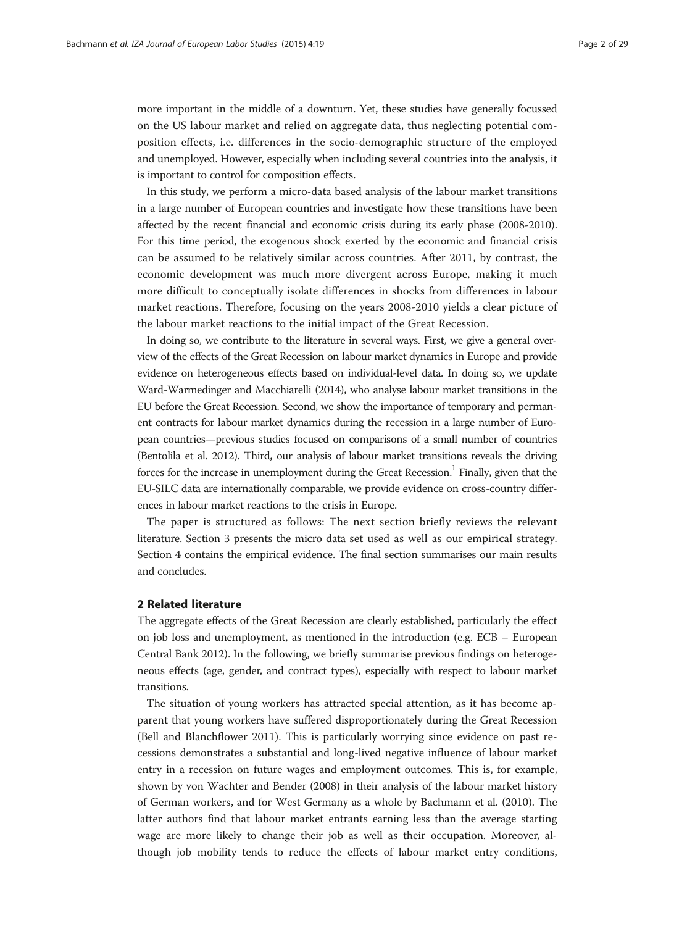<span id="page-1-0"></span>more important in the middle of a downturn. Yet, these studies have generally focussed on the US labour market and relied on aggregate data, thus neglecting potential composition effects, i.e. differences in the socio-demographic structure of the employed and unemployed. However, especially when including several countries into the analysis, it is important to control for composition effects.

In this study, we perform a micro-data based analysis of the labour market transitions in a large number of European countries and investigate how these transitions have been affected by the recent financial and economic crisis during its early phase (2008-2010). For this time period, the exogenous shock exerted by the economic and financial crisis can be assumed to be relatively similar across countries. After 2011, by contrast, the economic development was much more divergent across Europe, making it much more difficult to conceptually isolate differences in shocks from differences in labour market reactions. Therefore, focusing on the years 2008-2010 yields a clear picture of the labour market reactions to the initial impact of the Great Recession.

In doing so, we contribute to the literature in several ways. First, we give a general overview of the effects of the Great Recession on labour market dynamics in Europe and provide evidence on heterogeneous effects based on individual-level data. In doing so, we update Ward-Warmedinger and Macchiarelli [\(2014\)](#page-28-0), who analyse labour market transitions in the EU before the Great Recession. Second, we show the importance of temporary and permanent contracts for labour market dynamics during the recession in a large number of European countries—previous studies focused on comparisons of a small number of countries (Bentolila et al. [2012\)](#page-27-0). Third, our analysis of labour market transitions reveals the driving forces for the increase in unemployment during the Great Recession.<sup>1</sup> Finally, given that the EU-SILC data are internationally comparable, we provide evidence on cross-country differences in labour market reactions to the crisis in Europe.

The paper is structured as follows: The next section briefly reviews the relevant literature. Section [3](#page-3-0) presents the micro data set used as well as our empirical strategy. Section [4](#page-4-0) contains the empirical evidence. The final section summarises our main results and concludes.

#### 2 Related literature

The aggregate effects of the Great Recession are clearly established, particularly the effect on job loss and unemployment, as mentioned in the introduction (e.g. ECB – European Central Bank [2012](#page-27-0)). In the following, we briefly summarise previous findings on heterogeneous effects (age, gender, and contract types), especially with respect to labour market transitions.

The situation of young workers has attracted special attention, as it has become apparent that young workers have suffered disproportionately during the Great Recession (Bell and Blanchflower [2011\)](#page-27-0). This is particularly worrying since evidence on past recessions demonstrates a substantial and long-lived negative influence of labour market entry in a recession on future wages and employment outcomes. This is, for example, shown by von Wachter and Bender ([2008\)](#page-28-0) in their analysis of the labour market history of German workers, and for West Germany as a whole by Bachmann et al. [\(2010\)](#page-27-0). The latter authors find that labour market entrants earning less than the average starting wage are more likely to change their job as well as their occupation. Moreover, although job mobility tends to reduce the effects of labour market entry conditions,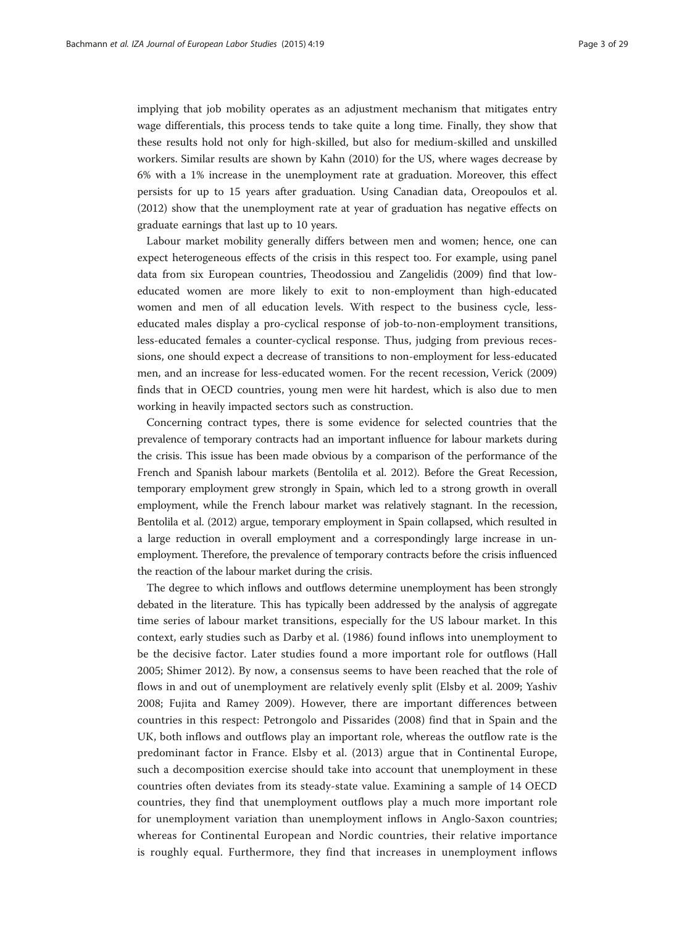implying that job mobility operates as an adjustment mechanism that mitigates entry wage differentials, this process tends to take quite a long time. Finally, they show that these results hold not only for high-skilled, but also for medium-skilled and unskilled workers. Similar results are shown by Kahn ([2010\)](#page-28-0) for the US, where wages decrease by 6% with a 1% increase in the unemployment rate at graduation. Moreover, this effect persists for up to 15 years after graduation. Using Canadian data, Oreopoulos et al. ([2012](#page-28-0)) show that the unemployment rate at year of graduation has negative effects on graduate earnings that last up to 10 years.

Labour market mobility generally differs between men and women; hence, one can expect heterogeneous effects of the crisis in this respect too. For example, using panel data from six European countries, Theodossiou and Zangelidis ([2009](#page-28-0)) find that loweducated women are more likely to exit to non-employment than high-educated women and men of all education levels. With respect to the business cycle, lesseducated males display a pro-cyclical response of job-to-non-employment transitions, less-educated females a counter-cyclical response. Thus, judging from previous recessions, one should expect a decrease of transitions to non-employment for less-educated men, and an increase for less-educated women. For the recent recession, Verick ([2009](#page-28-0)) finds that in OECD countries, young men were hit hardest, which is also due to men working in heavily impacted sectors such as construction.

Concerning contract types, there is some evidence for selected countries that the prevalence of temporary contracts had an important influence for labour markets during the crisis. This issue has been made obvious by a comparison of the performance of the French and Spanish labour markets (Bentolila et al. [2012](#page-27-0)). Before the Great Recession, temporary employment grew strongly in Spain, which led to a strong growth in overall employment, while the French labour market was relatively stagnant. In the recession, Bentolila et al. [\(2012](#page-27-0)) argue, temporary employment in Spain collapsed, which resulted in a large reduction in overall employment and a correspondingly large increase in unemployment. Therefore, the prevalence of temporary contracts before the crisis influenced the reaction of the labour market during the crisis.

The degree to which inflows and outflows determine unemployment has been strongly debated in the literature. This has typically been addressed by the analysis of aggregate time series of labour market transitions, especially for the US labour market. In this context, early studies such as Darby et al. [\(1986](#page-27-0)) found inflows into unemployment to be the decisive factor. Later studies found a more important role for outflows (Hall [2005;](#page-28-0) Shimer [2012\)](#page-28-0). By now, a consensus seems to have been reached that the role of flows in and out of unemployment are relatively evenly split (Elsby et al. [2009;](#page-28-0) Yashiv [2008;](#page-28-0) Fujita and Ramey [2009](#page-28-0)). However, there are important differences between countries in this respect: Petrongolo and Pissarides [\(2008](#page-28-0)) find that in Spain and the UK, both inflows and outflows play an important role, whereas the outflow rate is the predominant factor in France. Elsby et al. ([2013](#page-28-0)) argue that in Continental Europe, such a decomposition exercise should take into account that unemployment in these countries often deviates from its steady-state value. Examining a sample of 14 OECD countries, they find that unemployment outflows play a much more important role for unemployment variation than unemployment inflows in Anglo-Saxon countries; whereas for Continental European and Nordic countries, their relative importance is roughly equal. Furthermore, they find that increases in unemployment inflows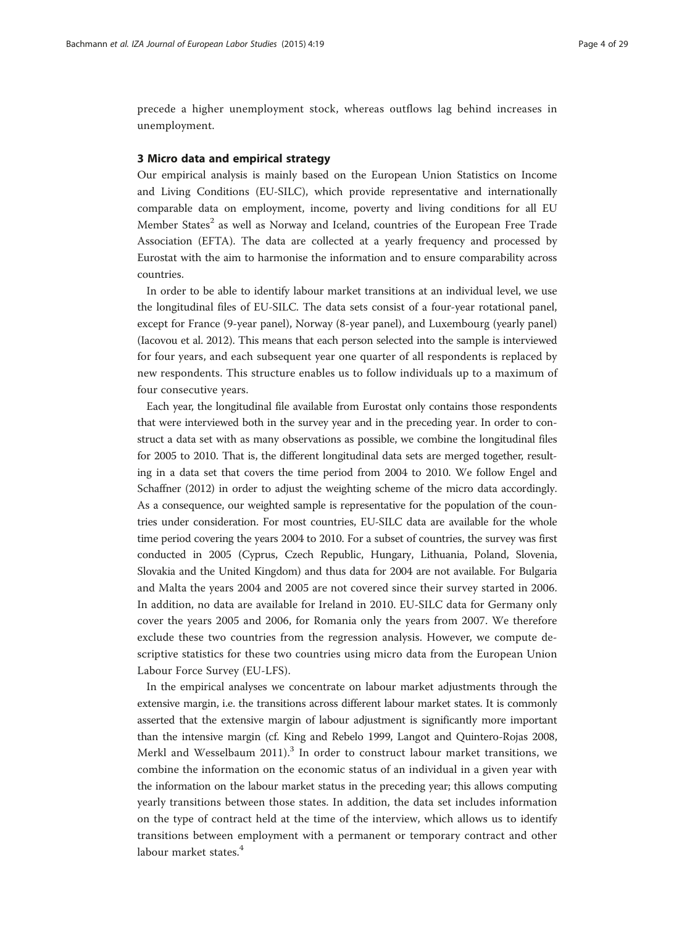<span id="page-3-0"></span>precede a higher unemployment stock, whereas outflows lag behind increases in unemployment.

#### 3 Micro data and empirical strategy

Our empirical analysis is mainly based on the European Union Statistics on Income and Living Conditions (EU-SILC), which provide representative and internationally comparable data on employment, income, poverty and living conditions for all EU Member States<sup>2</sup> as well as Norway and Iceland, countries of the European Free Trade Association (EFTA). The data are collected at a yearly frequency and processed by Eurostat with the aim to harmonise the information and to ensure comparability across countries.

In order to be able to identify labour market transitions at an individual level, we use the longitudinal files of EU-SILC. The data sets consist of a four-year rotational panel, except for France (9-year panel), Norway (8-year panel), and Luxembourg (yearly panel) (Iacovou et al. 2012). This means that each person selected into the sample is interviewed for four years, and each subsequent year one quarter of all respondents is replaced by new respondents. This structure enables us to follow individuals up to a maximum of four consecutive years.

Each year, the longitudinal file available from Eurostat only contains those respondents that were interviewed both in the survey year and in the preceding year. In order to construct a data set with as many observations as possible, we combine the longitudinal files for 2005 to 2010. That is, the different longitudinal data sets are merged together, resulting in a data set that covers the time period from 2004 to 2010. We follow Engel and Schaffner ([2012](#page-28-0)) in order to adjust the weighting scheme of the micro data accordingly. As a consequence, our weighted sample is representative for the population of the countries under consideration. For most countries, EU-SILC data are available for the whole time period covering the years 2004 to 2010. For a subset of countries, the survey was first conducted in 2005 (Cyprus, Czech Republic, Hungary, Lithuania, Poland, Slovenia, Slovakia and the United Kingdom) and thus data for 2004 are not available. For Bulgaria and Malta the years 2004 and 2005 are not covered since their survey started in 2006. In addition, no data are available for Ireland in 2010. EU-SILC data for Germany only cover the years 2005 and 2006, for Romania only the years from 2007. We therefore exclude these two countries from the regression analysis. However, we compute descriptive statistics for these two countries using micro data from the European Union Labour Force Survey (EU-LFS).

In the empirical analyses we concentrate on labour market adjustments through the extensive margin, i.e. the transitions across different labour market states. It is commonly asserted that the extensive margin of labour adjustment is significantly more important than the intensive margin (cf. King and Rebelo [1999,](#page-28-0) Langot and Quintero-Rojas [2008](#page-28-0), Merkl and Wesselbaum  $2011$ <sup>3</sup>. In order to construct labour market transitions, we combine the information on the economic status of an individual in a given year with the information on the labour market status in the preceding year; this allows computing yearly transitions between those states. In addition, the data set includes information on the type of contract held at the time of the interview, which allows us to identify transitions between employment with a permanent or temporary contract and other labour market states.<sup>4</sup>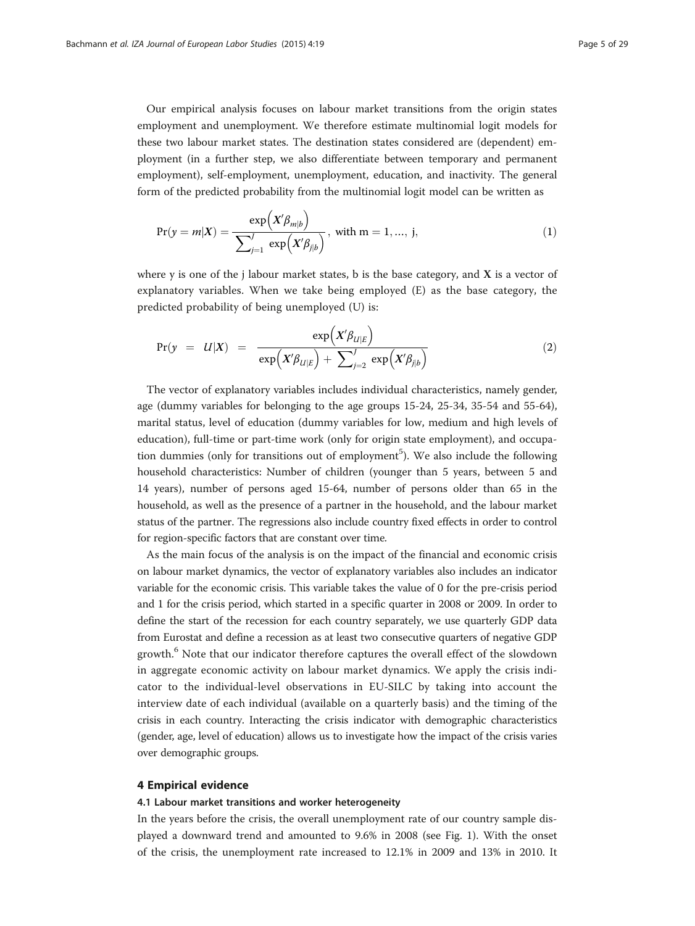<span id="page-4-0"></span>Our empirical analysis focuses on labour market transitions from the origin states employment and unemployment. We therefore estimate multinomial logit models for these two labour market states. The destination states considered are (dependent) employment (in a further step, we also differentiate between temporary and permanent employment), self-employment, unemployment, education, and inactivity. The general form of the predicted probability from the multinomial logit model can be written as

$$
Pr(y = m|X) = \frac{\exp(X'\beta_{m|b})}{\sum_{j=1}^{J} \exp(X'\beta_{j|b})}, \text{ with } m = 1, ..., j,
$$
\n(1)

where y is one of the j labour market states, b is the base category, and  $X$  is a vector of explanatory variables. When we take being employed (E) as the base category, the predicted probability of being unemployed (U) is:

$$
Pr(y = U|X) = \frac{\exp(X'\beta_{U|E})}{\exp(X'\beta_{U|E}) + \sum_{j=2}^{J} \exp(X'\beta_{j|b})}
$$
(2)

The vector of explanatory variables includes individual characteristics, namely gender, age (dummy variables for belonging to the age groups 15-24, 25-34, 35-54 and 55-64), marital status, level of education (dummy variables for low, medium and high levels of education), full-time or part-time work (only for origin state employment), and occupation dummies (only for transitions out of employment<sup>5</sup>). We also include the following household characteristics: Number of children (younger than 5 years, between 5 and 14 years), number of persons aged 15-64, number of persons older than 65 in the household, as well as the presence of a partner in the household, and the labour market status of the partner. The regressions also include country fixed effects in order to control for region-specific factors that are constant over time.

As the main focus of the analysis is on the impact of the financial and economic crisis on labour market dynamics, the vector of explanatory variables also includes an indicator variable for the economic crisis. This variable takes the value of 0 for the pre-crisis period and 1 for the crisis period, which started in a specific quarter in 2008 or 2009. In order to define the start of the recession for each country separately, we use quarterly GDP data from Eurostat and define a recession as at least two consecutive quarters of negative GDP growth.<sup>6</sup> Note that our indicator therefore captures the overall effect of the slowdown in aggregate economic activity on labour market dynamics. We apply the crisis indicator to the individual-level observations in EU-SILC by taking into account the interview date of each individual (available on a quarterly basis) and the timing of the crisis in each country. Interacting the crisis indicator with demographic characteristics (gender, age, level of education) allows us to investigate how the impact of the crisis varies over demographic groups.

#### 4 Empirical evidence

#### 4.1 Labour market transitions and worker heterogeneity

In the years before the crisis, the overall unemployment rate of our country sample displayed a downward trend and amounted to 9.6% in 2008 (see Fig. [1](#page-5-0)). With the onset of the crisis, the unemployment rate increased to 12.1% in 2009 and 13% in 2010. It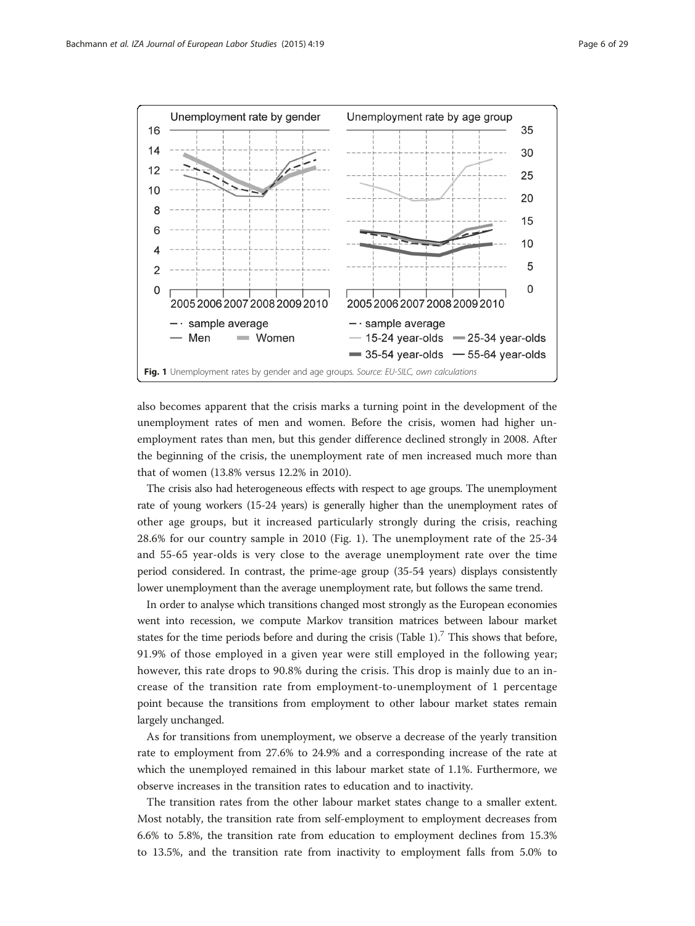<span id="page-5-0"></span>

also becomes apparent that the crisis marks a turning point in the development of the unemployment rates of men and women. Before the crisis, women had higher unemployment rates than men, but this gender difference declined strongly in 2008. After the beginning of the crisis, the unemployment rate of men increased much more than that of women (13.8% versus 12.2% in 2010).

The crisis also had heterogeneous effects with respect to age groups. The unemployment rate of young workers (15-24 years) is generally higher than the unemployment rates of other age groups, but it increased particularly strongly during the crisis, reaching 28.6% for our country sample in 2010 (Fig. 1). The unemployment rate of the 25-34 and 55-65 year-olds is very close to the average unemployment rate over the time period considered. In contrast, the prime-age group (35-54 years) displays consistently lower unemployment than the average unemployment rate, but follows the same trend.

In order to analyse which transitions changed most strongly as the European economies went into recession, we compute Markov transition matrices between labour market states for the time periods before and during the crisis (Table [1](#page-6-0)).<sup>7</sup> This shows that before, 91.9% of those employed in a given year were still employed in the following year; however, this rate drops to 90.8% during the crisis. This drop is mainly due to an increase of the transition rate from employment-to-unemployment of 1 percentage point because the transitions from employment to other labour market states remain largely unchanged.

As for transitions from unemployment, we observe a decrease of the yearly transition rate to employment from 27.6% to 24.9% and a corresponding increase of the rate at which the unemployed remained in this labour market state of 1.1%. Furthermore, we observe increases in the transition rates to education and to inactivity.

The transition rates from the other labour market states change to a smaller extent. Most notably, the transition rate from self-employment to employment decreases from 6.6% to 5.8%, the transition rate from education to employment declines from 15.3% to 13.5%, and the transition rate from inactivity to employment falls from 5.0% to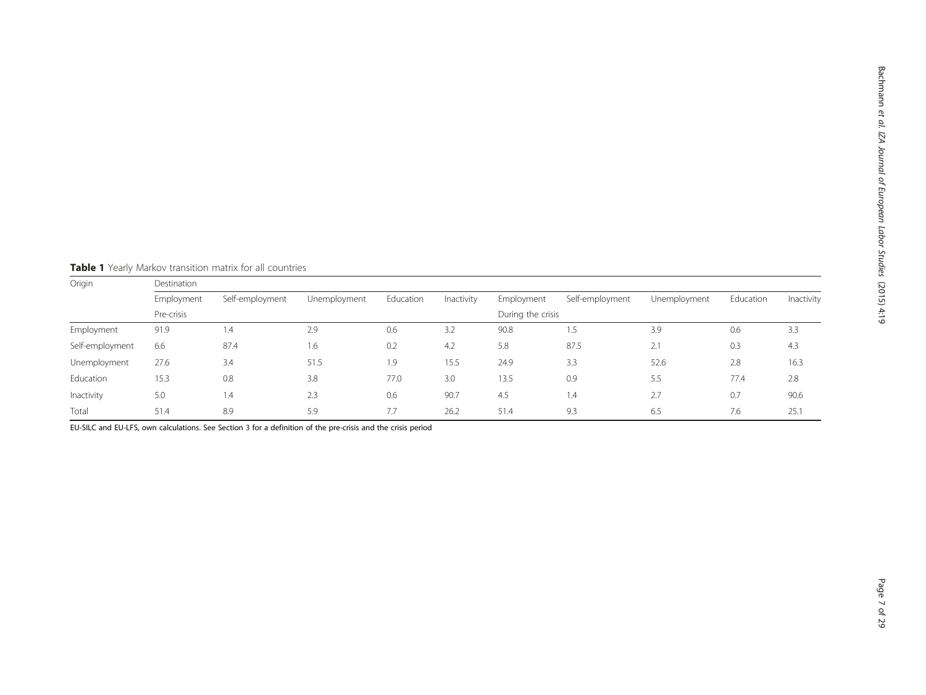Origin Destination Employment Self-employment Unemployment Education Inactivity Employment Self-employment Unemployment Education Inactivity Pre-crisis During the crisis Employment 91.9 1.4 2.9 0.6 3.2 90.8 1.5 3.9 0.6 3.3 Self-employment 6.6 87.4 1.6 0.2 4.2 5.8 87.5 2.1 0.3 4.3 Unemployment 27.6 3.4 51.5 1.9 15.5 24.9 3.3 52.6 2.8 16.3 Education 15.3 0.8 3.8 77.0 3.0 13.5 0.9 5.5 77.4 2.8 Inactivity 5.0 1.4 2.3 0.6 90.7 4.5 1.4 2.7 0.7 90.6 Total 51.4 8.9 5.9 7.7 26.2 51.4 9.3 6.5 7.6 25.1

<span id="page-6-0"></span>Table 1 Yearly Markov transition matrix for all countries

EU-SILC and EU-LFS, own calculations. See Section [3](#page-3-0) for a definition of the pre-crisis and the crisis period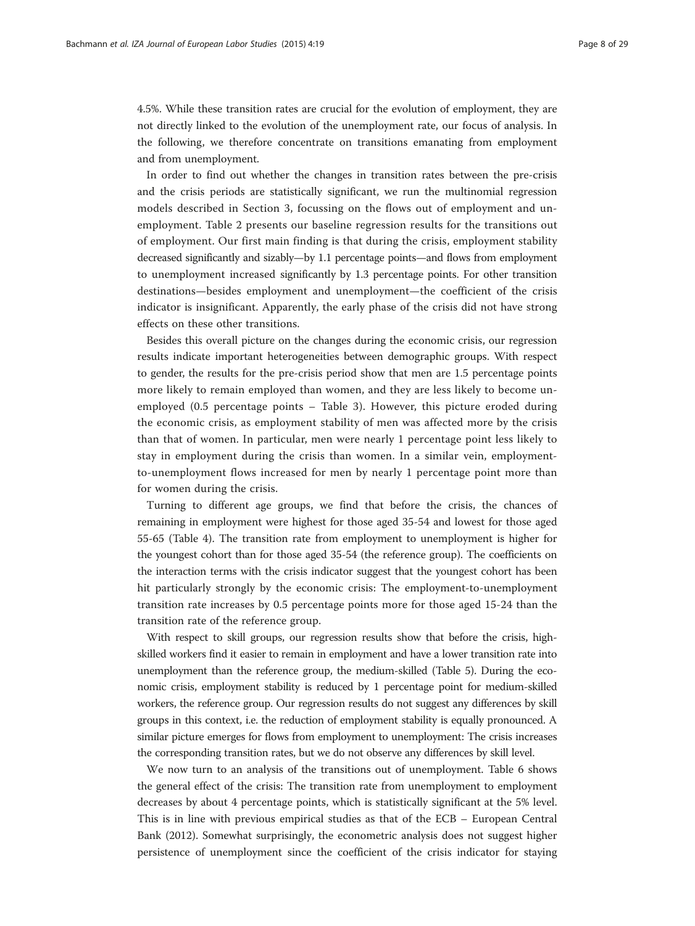4.5%. While these transition rates are crucial for the evolution of employment, they are not directly linked to the evolution of the unemployment rate, our focus of analysis. In the following, we therefore concentrate on transitions emanating from employment and from unemployment.

In order to find out whether the changes in transition rates between the pre-crisis and the crisis periods are statistically significant, we run the multinomial regression models described in Section [3,](#page-3-0) focussing on the flows out of employment and unemployment. Table [2](#page-8-0) presents our baseline regression results for the transitions out of employment. Our first main finding is that during the crisis, employment stability decreased significantly and sizably—by 1.1 percentage points—and flows from employment to unemployment increased significantly by 1.3 percentage points. For other transition destinations—besides employment and unemployment—the coefficient of the crisis indicator is insignificant. Apparently, the early phase of the crisis did not have strong effects on these other transitions.

Besides this overall picture on the changes during the economic crisis, our regression results indicate important heterogeneities between demographic groups. With respect to gender, the results for the pre-crisis period show that men are 1.5 percentage points more likely to remain employed than women, and they are less likely to become unemployed (0.5 percentage points – Table [3\)](#page-9-0). However, this picture eroded during the economic crisis, as employment stability of men was affected more by the crisis than that of women. In particular, men were nearly 1 percentage point less likely to stay in employment during the crisis than women. In a similar vein, employmentto-unemployment flows increased for men by nearly 1 percentage point more than for women during the crisis.

Turning to different age groups, we find that before the crisis, the chances of remaining in employment were highest for those aged 35-54 and lowest for those aged 55-65 (Table [4\)](#page-10-0). The transition rate from employment to unemployment is higher for the youngest cohort than for those aged 35-54 (the reference group). The coefficients on the interaction terms with the crisis indicator suggest that the youngest cohort has been hit particularly strongly by the economic crisis: The employment-to-unemployment transition rate increases by 0.5 percentage points more for those aged 15-24 than the transition rate of the reference group.

With respect to skill groups, our regression results show that before the crisis, highskilled workers find it easier to remain in employment and have a lower transition rate into unemployment than the reference group, the medium-skilled (Table [5](#page-11-0)). During the economic crisis, employment stability is reduced by 1 percentage point for medium-skilled workers, the reference group. Our regression results do not suggest any differences by skill groups in this context, i.e. the reduction of employment stability is equally pronounced. A similar picture emerges for flows from employment to unemployment: The crisis increases the corresponding transition rates, but we do not observe any differences by skill level.

We now turn to an analysis of the transitions out of unemployment. Table [6](#page-12-0) shows the general effect of the crisis: The transition rate from unemployment to employment decreases by about 4 percentage points, which is statistically significant at the 5% level. This is in line with previous empirical studies as that of the ECB – European Central Bank [\(2012\)](#page-27-0). Somewhat surprisingly, the econometric analysis does not suggest higher persistence of unemployment since the coefficient of the crisis indicator for staying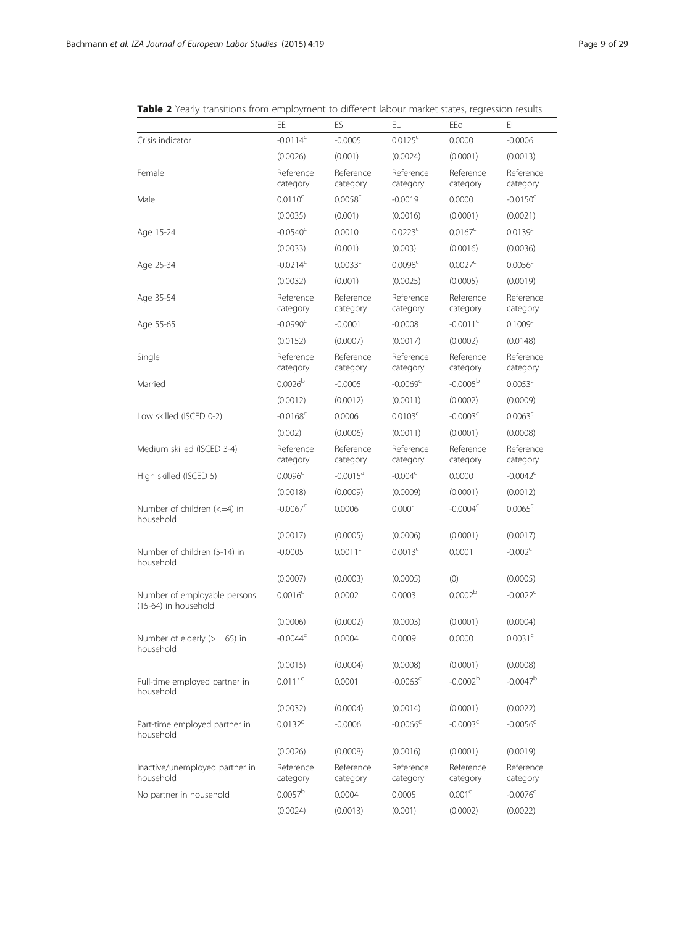|                                                         | EE                     | ES                     | EU                     | EEd                    | EI.                    |
|---------------------------------------------------------|------------------------|------------------------|------------------------|------------------------|------------------------|
| Crisis indicator                                        | $-0.0114$ <sup>c</sup> | $-0.0005$              | $0.0125^c$             | 0.0000                 | $-0.0006$              |
|                                                         | (0.0026)               | (0.001)                | (0.0024)               | (0.0001)               | (0.0013)               |
| Female                                                  | Reference<br>category  | Reference<br>category  | Reference<br>category  | Reference<br>category  | Reference<br>category  |
| Male                                                    | $0.0110^c$             | $0.0058^{\circ}$       | $-0.0019$              | 0.0000                 | $-0.0150^{\circ}$      |
|                                                         | (0.0035)               | (0.001)                | (0.0016)               | (0.0001)               | (0.0021)               |
| Age 15-24                                               | $-0.0540^{\circ}$      | 0.0010                 | 0.0223c                | $0.0167^c$             | 0.0139 <sup>c</sup>    |
|                                                         | (0.0033)               | (0.001)                | (0.003)                | (0.0016)               | (0.0036)               |
| Age 25-34                                               | $-0.0214$ <sup>c</sup> | 0.0033 <sup>c</sup>    | 0.0098 <sup>c</sup>    | $0.0027^{\circ}$       | $0.0056^c$             |
|                                                         | (0.0032)               | (0.001)                | (0.0025)               | (0.0005)               | (0.0019)               |
| Age 35-54                                               | Reference<br>category  | Reference<br>category  | Reference<br>category  | Reference<br>category  | Reference<br>category  |
| Age 55-65                                               | $-0.0990c$             | $-0.0001$              | $-0.0008$              | $-0.0011$ <sup>c</sup> | 0.1009 <sup>c</sup>    |
|                                                         | (0.0152)               | (0.0007)               | (0.0017)               | (0.0002)               | (0.0148)               |
| Single                                                  | Reference<br>category  | Reference<br>category  | Reference<br>category  | Reference<br>category  | Reference<br>category  |
| Married                                                 | 0.0026 <sup>b</sup>    | $-0.0005$              | $-0.0069$ <sup>c</sup> | $-0.0005b$             | 0.0053 <sup>c</sup>    |
|                                                         | (0.0012)               | (0.0012)               | (0.0011)               | (0.0002)               | (0.0009)               |
| Low skilled (ISCED 0-2)                                 | $-0.0168^{\circ}$      | 0.0006                 | 0.0103 <sup>c</sup>    | $-0.0003c$             | $0.0063^c$             |
|                                                         | (0.002)                | (0.0006)               | (0.0011)               | (0.0001)               | (0.0008)               |
| Medium skilled (ISCED 3-4)                              | Reference<br>category  | Reference<br>category  | Reference<br>category  | Reference<br>category  | Reference<br>category  |
| High skilled (ISCED 5)                                  | 0.0096 <sup>c</sup>    | $-0.0015$ <sup>a</sup> | $-0.004c$              | 0.0000                 | $-0.0042^{\circ}$      |
|                                                         | (0.0018)               | (0.0009)               | (0.0009)               | (0.0001)               | (0.0012)               |
| Number of children $\left( <=4 \right)$ in<br>household | $-0.0067^{\circ}$      | 0.0006                 | 0.0001                 | $-0.0004c$             | $0.0065^{\circ}$       |
|                                                         | (0.0017)               | (0.0005)               | (0.0006)               | (0.0001)               | (0.0017)               |
| Number of children (5-14) in<br>household               | $-0.0005$              | 0.0011c                | 0.0013 <sup>c</sup>    | 0.0001                 | $-0.002c$              |
|                                                         | (0.0007)               | (0.0003)               | (0.0005)               | (0)                    | (0.0005)               |
| Number of employable persons<br>(15-64) in household    | $0.0016^c$             | 0.0002                 | 0.0003                 | 0.0002 <sup>b</sup>    | $-0.0022^c$            |
|                                                         | (0.0006)               | (0.0002)               | (0.0003)               | (0.0001)               | (0.0004)               |
| Number of elderly $(>= 65)$ in<br>household             | $-0.0044^{\circ}$      | 0.0004                 | 0.0009                 | 0.0000                 | 0.0031 <sup>c</sup>    |
|                                                         | (0.0015)               | (0.0004)               | (0.0008)               | (0.0001)               | (0.0008)               |
| Full-time employed partner in<br>household              | 0.0111c                | 0.0001                 | $-0.0063$ <sup>c</sup> | $-0.0002b$             | $-0.0047^{b}$          |
|                                                         | (0.0032)               | (0.0004)               | (0.0014)               | (0.0001)               | (0.0022)               |
| Part-time employed partner in<br>household              | $0.0132^c$             | $-0.0006$              | $-0.0066$ <sup>c</sup> | $-0.0003^{\circ}$      | $-0.0056$ <sup>c</sup> |
|                                                         | (0.0026)               | (0.0008)               | (0.0016)               | (0.0001)               | (0.0019)               |
| Inactive/unemployed partner in<br>household             | Reference<br>category  | Reference<br>category  | Reference<br>category  | Reference<br>category  | Reference<br>category  |
| No partner in household                                 | 0.0057 <sup>b</sup>    | 0.0004                 | 0.0005                 | 0.001 <sup>c</sup>     | $-0.0076$ <sup>c</sup> |
|                                                         | (0.0024)               | (0.0013)               | (0.001)                | (0.0002)               | (0.0022)               |

<span id="page-8-0"></span>Table 2 Yearly transitions from employment to different labour market states, regression results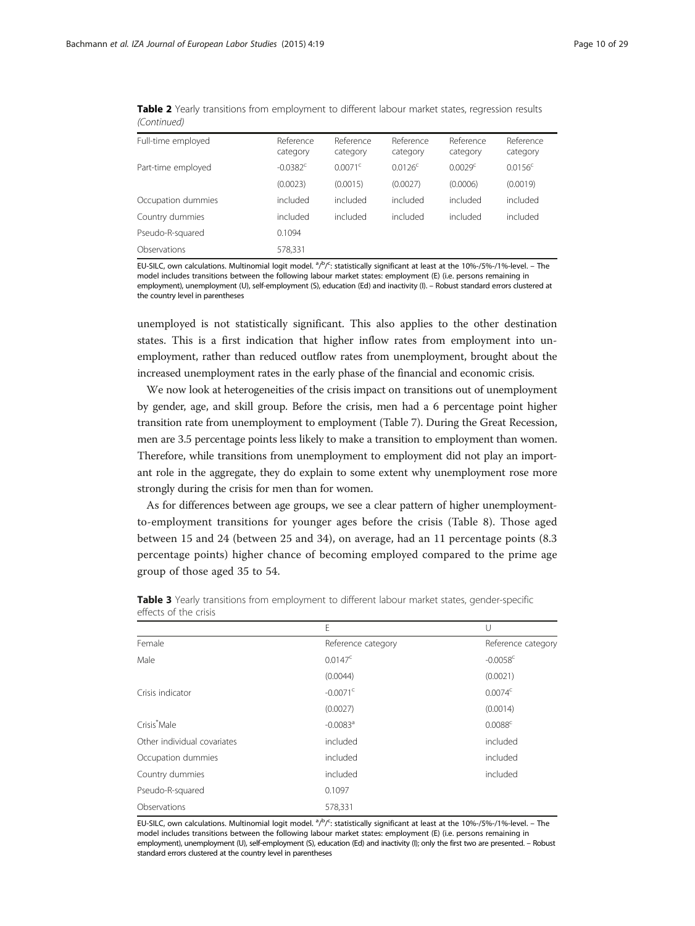| Full-time employed | Reference<br>category  | Reference<br>category | Reference<br>category | Reference<br>category | Reference<br>category |
|--------------------|------------------------|-----------------------|-----------------------|-----------------------|-----------------------|
| Part-time employed | $-0.0382$ <sup>c</sup> | $0.0071^{\circ}$      | $0.0126^{\circ}$      | 0.0029 <sup>c</sup>   | $0.0156^{\circ}$      |
|                    | (0.0023)               | (0.0015)              | (0.0027)              | (0.0006)              | (0.0019)              |
| Occupation dummies | included               | included              | included              | included              | included              |
| Country dummies    | included               | included              | included              | included              | included              |
| Pseudo-R-squared   | 0.1094                 |                       |                       |                       |                       |
| Observations       | 578,331                |                       |                       |                       |                       |

<span id="page-9-0"></span>Table 2 Yearly transitions from employment to different labour market states, regression results (Continued)

EU-SILC, own calculations. Multinomial logit model. <sup>a</sup>/b/<sup>c</sup>: statistically significant at least at the 10%-/5%-/1%-level. – The model includes transitions between the following labour market states: employment (E) (i.e. persons remaining in employment), unemployment (U), self-employment (S), education (Ed) and inactivity (I). – Robust standard errors clustered at the country level in parentheses

unemployed is not statistically significant. This also applies to the other destination states. This is a first indication that higher inflow rates from employment into unemployment, rather than reduced outflow rates from unemployment, brought about the increased unemployment rates in the early phase of the financial and economic crisis.

We now look at heterogeneities of the crisis impact on transitions out of unemployment by gender, age, and skill group. Before the crisis, men had a 6 percentage point higher transition rate from unemployment to employment (Table [7](#page-13-0)). During the Great Recession, men are 3.5 percentage points less likely to make a transition to employment than women. Therefore, while transitions from unemployment to employment did not play an important role in the aggregate, they do explain to some extent why unemployment rose more strongly during the crisis for men than for women.

As for differences between age groups, we see a clear pattern of higher unemploymentto-employment transitions for younger ages before the crisis (Table [8](#page-14-0)). Those aged between 15 and 24 (between 25 and 34), on average, had an 11 percentage points (8.3 percentage points) higher chance of becoming employed compared to the prime age group of those aged 35 to 54.

|                             | E                      | U                      |
|-----------------------------|------------------------|------------------------|
| Female                      | Reference category     | Reference category     |
| Male                        | $0.0147^{\circ}$       | $-0.0058$ <sup>c</sup> |
|                             | (0.0044)               | (0.0021)               |
| Crisis indicator            | $-0.0071$ <sup>c</sup> | $0.0074^c$             |
|                             | (0.0027)               | (0.0014)               |
| Crisis <sup>*</sup> Male    | $-0.0083$ <sup>a</sup> | 0.0088c                |
| Other individual covariates | included               | included               |
| Occupation dummies          | included               | included               |
| Country dummies             | included               | included               |
| Pseudo-R-squared            | 0.1097                 |                        |
| Observations                | 578,331                |                        |

Table 3 Yearly transitions from employment to different labour market states, gender-specific effects of the crisis

EU-SILC, own calculations. Multinomial logit model. <sup>a</sup>/b/<sup>c</sup>: statistically significant at least at the 10%-/5%-/1%-level. – The model includes transitions between the following labour market states: employment (E) (i.e. persons remaining in employment), unemployment (U), self-employment (S), education (Ed) and inactivity (I); only the first two are presented. – Robust standard errors clustered at the country level in parentheses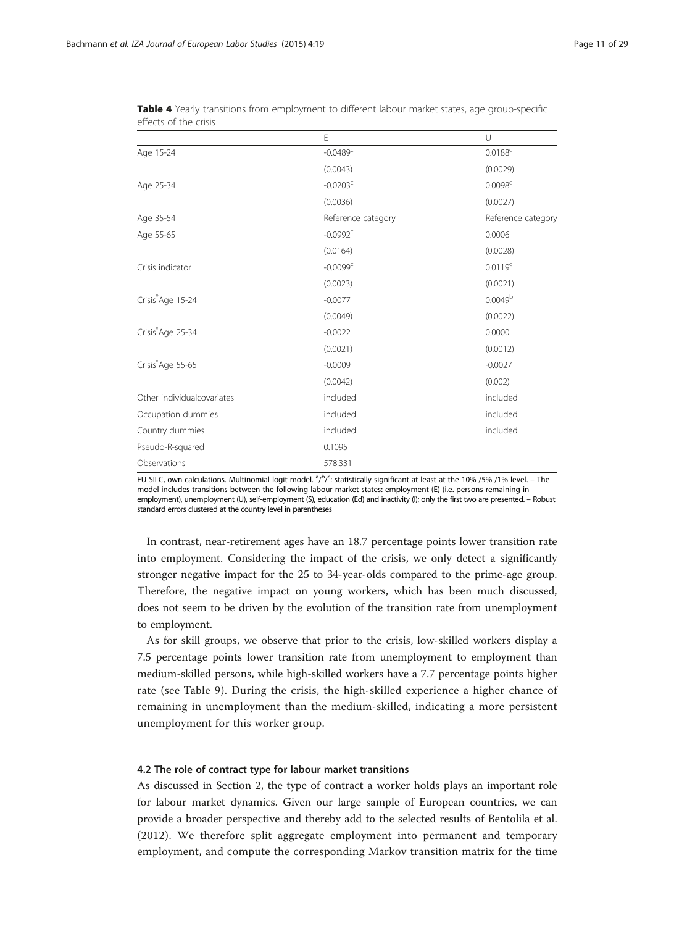|                               | E                      | U                   |
|-------------------------------|------------------------|---------------------|
| Age 15-24                     | $-0.0489$ <sup>c</sup> | $0.0188^c$          |
|                               | (0.0043)               | (0.0029)            |
| Age 25-34                     | $-0.0203^c$            | 0.0098 <sup>c</sup> |
|                               | (0.0036)               | (0.0027)            |
| Age 35-54                     | Reference category     | Reference category  |
| Age 55-65                     | $-0.0992$ <sup>c</sup> | 0.0006              |
|                               | (0.0164)               | (0.0028)            |
| Crisis indicator              | $-0.0099^{\circ}$      | 0.0119 <sup>c</sup> |
|                               | (0.0023)               | (0.0021)            |
| Crisis Age 15-24              | $-0.0077$              | 0.0049 <sup>b</sup> |
|                               | (0.0049)               | (0.0022)            |
| Crisis <sup>*</sup> Age 25-34 | $-0.0022$              | 0.0000              |
|                               | (0.0021)               | (0.0012)            |
| Crisis*Age 55-65              | $-0.0009$              | $-0.0027$           |
|                               | (0.0042)               | (0.002)             |
| Other individualcovariates    | included               | included            |
| Occupation dummies            | included               | included            |
| Country dummies               | included               | included            |
| Pseudo-R-squared              | 0.1095                 |                     |
| Observations                  | 578,331                |                     |

<span id="page-10-0"></span>Table 4 Yearly transitions from employment to different labour market states, age group-specific effects of the crisis

EU-SILC, own calculations. Multinomial logit model. <sup>a</sup>/<sup>b</sup>/<sup>c</sup>: statistically significant at least at the 10%-/5%-/1%-level. – The model includes transitions between the following labour market states: employment (E) (i.e. persons remaining in employment), unemployment (U), self-employment (S), education (Ed) and inactivity (I); only the first two are presented. – Robust standard errors clustered at the country level in parentheses

In contrast, near-retirement ages have an 18.7 percentage points lower transition rate into employment. Considering the impact of the crisis, we only detect a significantly stronger negative impact for the 25 to 34-year-olds compared to the prime-age group. Therefore, the negative impact on young workers, which has been much discussed, does not seem to be driven by the evolution of the transition rate from unemployment to employment.

As for skill groups, we observe that prior to the crisis, low-skilled workers display a 7.5 percentage points lower transition rate from unemployment to employment than medium-skilled persons, while high-skilled workers have a 7.7 percentage points higher rate (see Table [9](#page-15-0)). During the crisis, the high-skilled experience a higher chance of remaining in unemployment than the medium-skilled, indicating a more persistent unemployment for this worker group.

#### 4.2 The role of contract type for labour market transitions

As discussed in Section [2,](#page-1-0) the type of contract a worker holds plays an important role for labour market dynamics. Given our large sample of European countries, we can provide a broader perspective and thereby add to the selected results of Bentolila et al. ([2012](#page-27-0)). We therefore split aggregate employment into permanent and temporary employment, and compute the corresponding Markov transition matrix for the time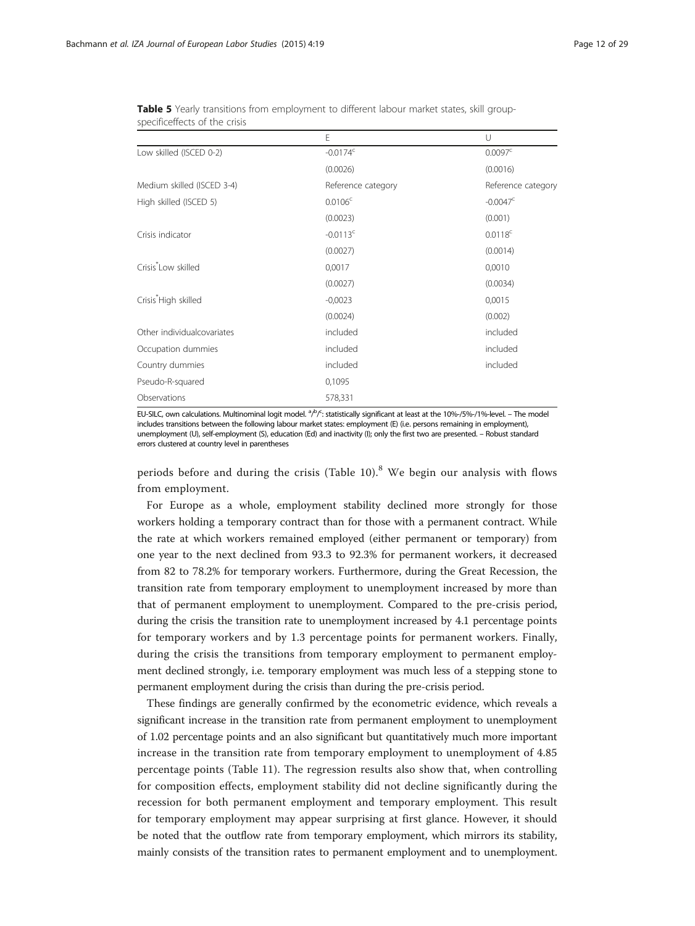|                                  | E                      | $\cup$                |
|----------------------------------|------------------------|-----------------------|
| Low skilled (ISCED 0-2)          | $-0.0174$ <sup>c</sup> | 0.0097 <sup>c</sup>   |
|                                  | (0.0026)               | (0.0016)              |
| Medium skilled (ISCED 3-4)       | Reference category     | Reference category    |
| High skilled (ISCED 5)           | $0.0106^c$             | $-0.0047^{\circ}$     |
|                                  | (0.0023)               | (0.001)               |
| Crisis indicator                 | $-0.0113$ <sup>c</sup> | $0.0118$ <sup>c</sup> |
|                                  | (0.0027)               | (0.0014)              |
| Crisis <sup>*</sup> Low skilled  | 0,0017                 | 0,0010                |
|                                  | (0.0027)               | (0.0034)              |
| Crisis <sup>*</sup> High skilled | $-0,0023$              | 0,0015                |
|                                  | (0.0024)               | (0.002)               |
| Other individualcovariates       | included               | included              |
| Occupation dummies               | included               | included              |
| Country dummies                  | included               | included              |
| Pseudo-R-squared                 | 0,1095                 |                       |
| Observations                     | 578,331                |                       |

<span id="page-11-0"></span>Table 5 Yearly transitions from employment to different labour market states, skill groupspecificeffects of the crisis

EU-SILC, own calculations. Multinominal logit model. <sup>a</sup>/P/<sup>c</sup>: statistically significant at least at the 10%-/5%-/1%-level. – The model includes transitions between the following labour market states: employment (E) (i.e. persons remaining in employment), unemployment (U), self-employment (S), education (Ed) and inactivity (I); only the first two are presented. – Robust standard errors clustered at country level in parentheses

periods before and during the crisis (Table [10\)](#page-16-0). $8$  We begin our analysis with flows from employment.

For Europe as a whole, employment stability declined more strongly for those workers holding a temporary contract than for those with a permanent contract. While the rate at which workers remained employed (either permanent or temporary) from one year to the next declined from 93.3 to 92.3% for permanent workers, it decreased from 82 to 78.2% for temporary workers. Furthermore, during the Great Recession, the transition rate from temporary employment to unemployment increased by more than that of permanent employment to unemployment. Compared to the pre-crisis period, during the crisis the transition rate to unemployment increased by 4.1 percentage points for temporary workers and by 1.3 percentage points for permanent workers. Finally, during the crisis the transitions from temporary employment to permanent employment declined strongly, i.e. temporary employment was much less of a stepping stone to permanent employment during the crisis than during the pre-crisis period.

These findings are generally confirmed by the econometric evidence, which reveals a significant increase in the transition rate from permanent employment to unemployment of 1.02 percentage points and an also significant but quantitatively much more important increase in the transition rate from temporary employment to unemployment of 4.85 percentage points (Table [11\)](#page-17-0). The regression results also show that, when controlling for composition effects, employment stability did not decline significantly during the recession for both permanent employment and temporary employment. This result for temporary employment may appear surprising at first glance. However, it should be noted that the outflow rate from temporary employment, which mirrors its stability, mainly consists of the transition rates to permanent employment and to unemployment.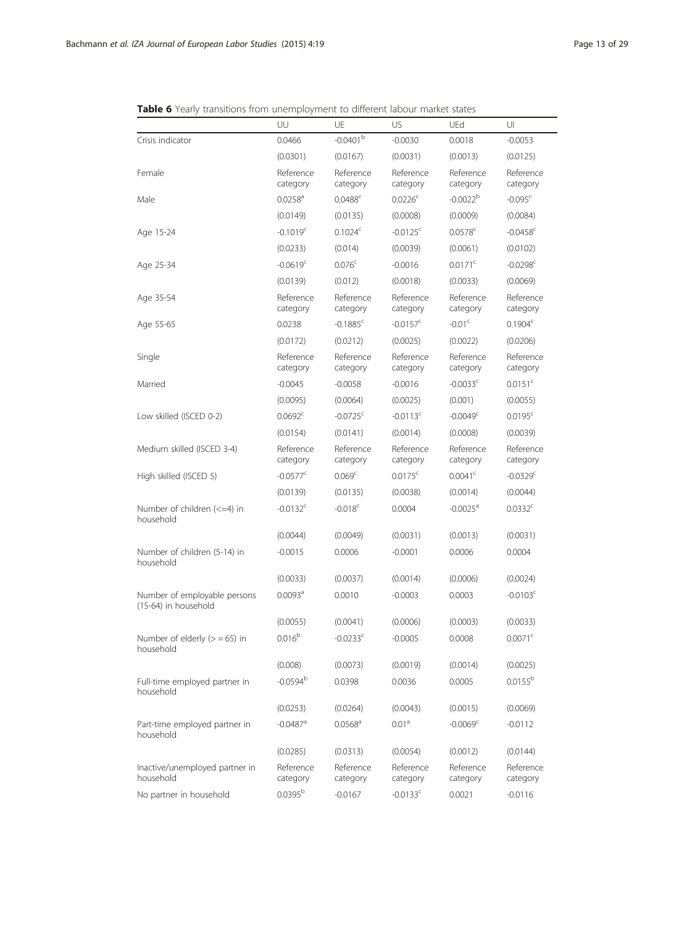|                                                         | UU                     | UE                     | US                     | UEd                    | UI                     |
|---------------------------------------------------------|------------------------|------------------------|------------------------|------------------------|------------------------|
| Crisis indicator                                        | 0.0466                 | $-0.0401^{\rm b}$      | $-0.0030$              | 0.0018                 | $-0.0053$              |
|                                                         | (0.0301)               | (0.0167)               | (0.0031)               | (0.0013)               | (0.0125)               |
| Female                                                  | Reference<br>category  | Reference<br>category  | Reference<br>category  | Reference<br>category  | Reference<br>category  |
| Male                                                    | $0.0258$ <sup>a</sup>  | $0.0488^{\circ}$       | $0.0226^c$             | $-0.0022^{b}$          | $-0.095$ <sup>c</sup>  |
|                                                         | (0.0149)               | (0.0135)               | (0.0008)               | (0.0009)               | (0.0084)               |
| Age 15-24                                               | $-0.1019c$             | $0.1024^c$             | $-0.0125$ <sup>c</sup> | $0.0578$ <sup>c</sup>  | $-0.0458$ <sup>c</sup> |
|                                                         | (0.0233)               | (0.014)                | (0.0039)               | (0.0061)               | (0.0102)               |
| Age 25-34                                               | $-0.0619$ <sup>c</sup> | 0.076 <sup>c</sup>     | $-0.0016$              | $0.0171^{\circ}$       | $-0.0298$ <sup>c</sup> |
|                                                         | (0.0139)               | (0.012)                | (0.0018)               | (0.0033)               | (0.0069)               |
| Age 35-54                                               | Reference<br>category  | Reference<br>category  | Reference<br>category  | Reference<br>category  | Reference<br>category  |
| Age 55-65                                               | 0.0238                 | $-0.1885$ <sup>c</sup> | $-0.0157^{\circ}$      | $-0.01c$               | 0.1904 <sup>c</sup>    |
|                                                         | (0.0172)               | (0.0212)               | (0.0025)               | (0.0022)               | (0.0206)               |
| Single                                                  | Reference<br>category  | Reference<br>category  | Reference<br>category  | Reference<br>category  | Reference<br>category  |
| Married                                                 | $-0.0045$              | $-0.0058$              | $-0.0016$              | $-0.0033$ <sup>c</sup> | 0.0151 <sup>c</sup>    |
|                                                         | (0.0095)               | (0.0064)               | (0.0025)               | (0.001)                | (0.0055)               |
| Low skilled (ISCED 0-2)                                 | $0.0692^{\circ}$       | $-0.0725$ <sup>c</sup> | $-0.0113$ <sup>c</sup> | $-0.0049c$             | $0.0195^c$             |
|                                                         | (0.0154)               | (0.0141)               | (0.0014)               | (0.0008)               | (0.0039)               |
| Medium skilled (ISCED 3-4)                              | Reference<br>category  | Reference<br>category  | Reference<br>category  | Reference<br>category  | Reference<br>category  |
| High skilled (ISCED 5)                                  | $-0.0577^{\circ}$      | 0.069 <sup>c</sup>     | $0.0175^{\circ}$       | $0.0041^{\circ}$       | $-0.0329$ <sup>c</sup> |
|                                                         | (0.0139)               | (0.0135)               | (0.0038)               | (0.0014)               | (0.0044)               |
| Number of children $\left( <=4 \right)$ in<br>household | $-0.0132$ <sup>c</sup> | $-0.018$ <sup>c</sup>  | 0.0004                 | $-0.0025$ <sup>a</sup> | 0.0332c                |
|                                                         | (0.0044)               | (0.0049)               | (0.0031)               | (0.0013)               | (0.0031)               |
| Number of children (5-14) in<br>household               | $-0.0015$              | 0.0006                 | $-0.0001$              | 0.0006                 | 0.0004                 |
|                                                         | (0.0033)               | (0.0037)               | (0.0014)               | (0.0006)               | (0.0024)               |
| Number of employable persons<br>(15-64) in household    | 0.0093 <sup>a</sup>    | 0.0010                 | $-0.0003$              | 0.0003                 | $-0.0103$ <sup>c</sup> |
|                                                         | (0.0055)               | (0.0041)               | (0.0006)               | (0.0003)               | (0.0033)               |
| Number of elderly $(>= 65)$ in<br>household             | 0.016 <sup>b</sup>     | $-0.0233$ <sup>c</sup> | $-0.0005$              | 0.0008                 | 0.0071 <sup>c</sup>    |
|                                                         | (0.008)                | (0.0073)               | (0.0019)               | (0.0014)               | (0.0025)               |
| Full-time employed partner in<br>household              | $-0.0594^{b}$          | 0.0398                 | 0.0036                 | 0.0005                 | $0.0155^{\rm b}$       |
|                                                         | (0.0253)               | (0.0264)               | (0.0043)               | (0.0015)               | (0.0069)               |
| Part-time employed partner in<br>household              | $-0.0487$ <sup>a</sup> | $0.0568$ <sup>a</sup>  | 0.01 <sup>a</sup>      | $-0.0069c$             | $-0.0112$              |
|                                                         | (0.0285)               | (0.0313)               | (0.0054)               | (0.0012)               | (0.0144)               |
| Inactive/unemployed partner in<br>household             | Reference<br>category  | Reference<br>category  | Reference<br>category  | Reference<br>category  | Reference<br>category  |
| No partner in household                                 | $0.0395^{b}$           | $-0.0167$              | $-0.0133$ <sup>c</sup> | 0.0021                 | $-0.0116$              |

<span id="page-12-0"></span>Table 6 Yearly transitions from unemployment to different labour market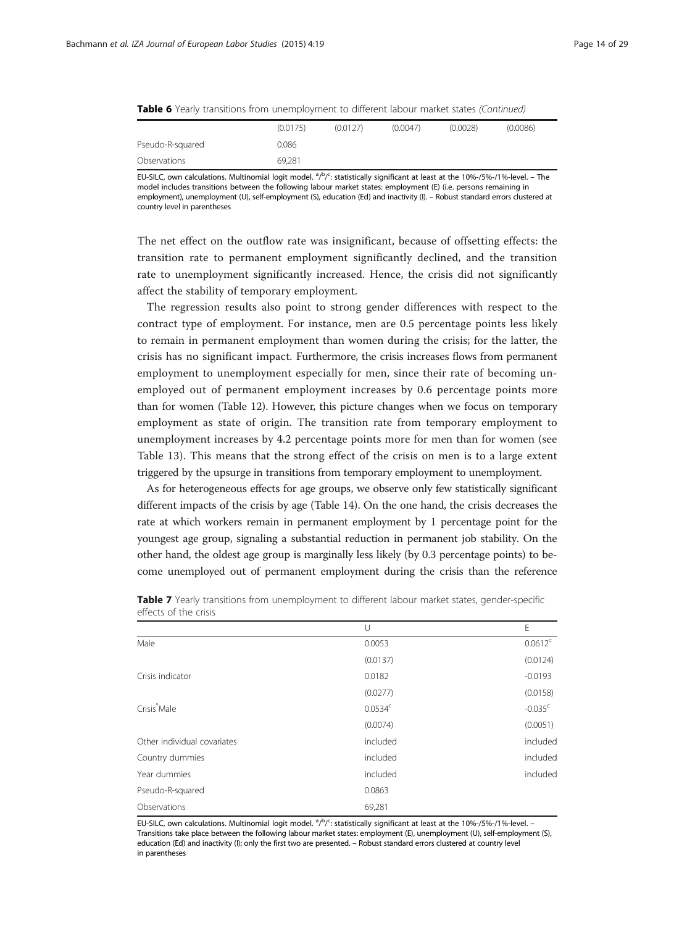<span id="page-13-0"></span>

|  |  | Table 6 Yearly transitions from unemployment to different labour market states (Continued) |  |  |  |
|--|--|--------------------------------------------------------------------------------------------|--|--|--|
|--|--|--------------------------------------------------------------------------------------------|--|--|--|

|                  | (0.0175) | (0.0127) | (0.0047) | (0.0028) | (0.0086) |
|------------------|----------|----------|----------|----------|----------|
| Pseudo-R-squared | 0.086    |          |          |          |          |
| Observations     | 69.281   |          |          |          |          |

EU-SILC, own calculations. Multinomial logit model. <sup>a</sup>/<sup>b</sup>/<sup>c</sup>: statistically significant at least at the 10%-/5%-/1%-level. – The model includes transitions between the following labour market states: employment (E) (i.e. persons remaining in employment), unemployment (U), self-employment (S), education (Ed) and inactivity (I). – Robust standard errors clustered at country level in parentheses

The net effect on the outflow rate was insignificant, because of offsetting effects: the transition rate to permanent employment significantly declined, and the transition rate to unemployment significantly increased. Hence, the crisis did not significantly affect the stability of temporary employment.

The regression results also point to strong gender differences with respect to the contract type of employment. For instance, men are 0.5 percentage points less likely to remain in permanent employment than women during the crisis; for the latter, the crisis has no significant impact. Furthermore, the crisis increases flows from permanent employment to unemployment especially for men, since their rate of becoming unemployed out of permanent employment increases by 0.6 percentage points more than for women (Table [12\)](#page-17-0). However, this picture changes when we focus on temporary employment as state of origin. The transition rate from temporary employment to unemployment increases by 4.2 percentage points more for men than for women (see Table [13\)](#page-18-0). This means that the strong effect of the crisis on men is to a large extent triggered by the upsurge in transitions from temporary employment to unemployment.

As for heterogeneous effects for age groups, we observe only few statistically significant different impacts of the crisis by age (Table [14\)](#page-18-0). On the one hand, the crisis decreases the rate at which workers remain in permanent employment by 1 percentage point for the youngest age group, signaling a substantial reduction in permanent job stability. On the other hand, the oldest age group is marginally less likely (by 0.3 percentage points) to become unemployed out of permanent employment during the crisis than the reference

|                             | U                   | E                     |
|-----------------------------|---------------------|-----------------------|
| Male                        | 0.0053              | $0.0612^c$            |
|                             | (0.0137)            | (0.0124)              |
| Crisis indicator            | 0.0182              | $-0.0193$             |
|                             | (0.0277)            | (0.0158)              |
| Crisis <sup>*</sup> Male    | 0.0534 <sup>c</sup> | $-0.035$ <sup>c</sup> |
|                             | (0.0074)            | (0.0051)              |
| Other individual covariates | included            | included              |
| Country dummies             | included            | included              |
| Year dummies                | included            | included              |
| Pseudo-R-squared            | 0.0863              |                       |
| Observations                | 69,281              |                       |

Table 7 Yearly transitions from unemployment to different labour market states, gender-specific effects of the crisis

EU-SILC, own calculations. Multinomial logit model.  $a/b/c$ : statistically significant at least at the 10%-/5%-/1%-level. -Transitions take place between the following labour market states: employment (E), unemployment (U), self-employment (S), education (Ed) and inactivity (I); only the first two are presented. – Robust standard errors clustered at country level in parentheses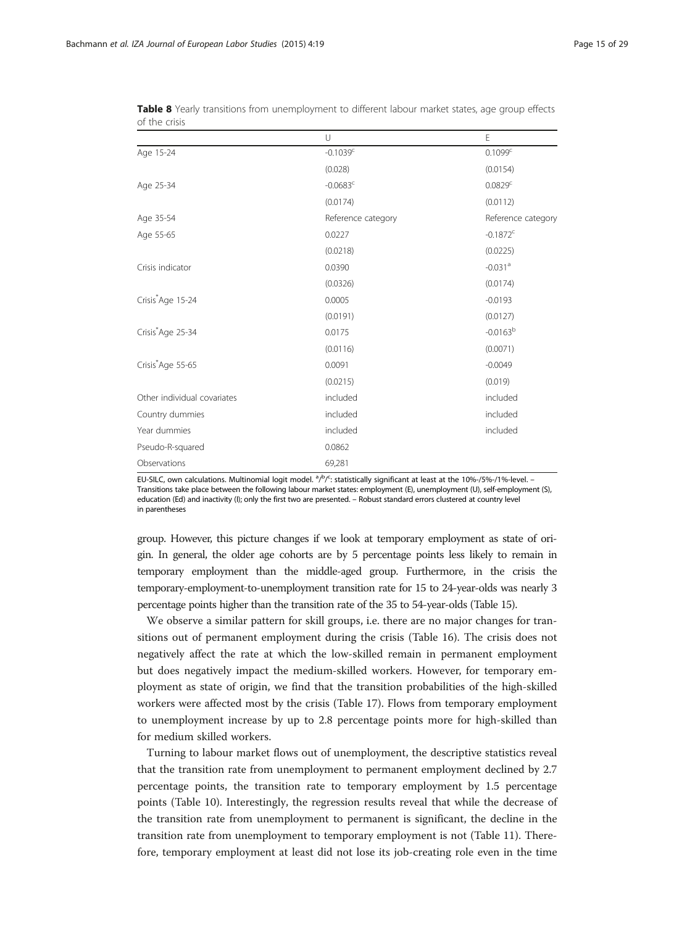|                               | $\cup$             | E                      |
|-------------------------------|--------------------|------------------------|
| Age 15-24                     | $-0.1039c$         | 0.1099 <sup>c</sup>    |
|                               | (0.028)            | (0.0154)               |
| Age 25-34                     | $-0.0683^c$        | 0.0829 <sup>c</sup>    |
|                               | (0.0174)           | (0.0112)               |
| Age 35-54                     | Reference category | Reference category     |
| Age 55-65                     | 0.0227             | $-0.1872$ <sup>c</sup> |
|                               | (0.0218)           | (0.0225)               |
| Crisis indicator              | 0.0390             | $-0.031$ <sup>a</sup>  |
|                               | (0.0326)           | (0.0174)               |
| Crisis <sup>*</sup> Age 15-24 | 0.0005             | $-0.0193$              |
|                               | (0.0191)           | (0.0127)               |
| Crisis Age 25-34              | 0.0175             | $-0.0163^{b}$          |
|                               | (0.0116)           | (0.0071)               |
| Crisis*Age 55-65              | 0.0091             | $-0.0049$              |
|                               | (0.0215)           | (0.019)                |
| Other individual covariates   | included           | included               |
| Country dummies               | included           | included               |
| Year dummies                  | included           | included               |
| Pseudo-R-squared              | 0.0862             |                        |
| Observations                  | 69,281             |                        |

<span id="page-14-0"></span>

| Table 8 Yearly transitions from unemployment to different labour market states, age group effects |  |  |  |
|---------------------------------------------------------------------------------------------------|--|--|--|
| of the crisis                                                                                     |  |  |  |

EU-SILC, own calculations. Multinomial logit model.  $a/b/c$ : statistically significant at least at the 10%-/5%-/1%-level. -Transitions take place between the following labour market states: employment (E), unemployment (U), self-employment (S), education (Ed) and inactivity (I); only the first two are presented. – Robust standard errors clustered at country level in parentheses

group. However, this picture changes if we look at temporary employment as state of origin. In general, the older age cohorts are by 5 percentage points less likely to remain in temporary employment than the middle-aged group. Furthermore, in the crisis the temporary-employment-to-unemployment transition rate for 15 to 24-year-olds was nearly 3 percentage points higher than the transition rate of the 35 to 54-year-olds (Table [15\)](#page-19-0).

We observe a similar pattern for skill groups, i.e. there are no major changes for transitions out of permanent employment during the crisis (Table [16\)](#page-20-0). The crisis does not negatively affect the rate at which the low-skilled remain in permanent employment but does negatively impact the medium-skilled workers. However, for temporary employment as state of origin, we find that the transition probabilities of the high-skilled workers were affected most by the crisis (Table [17\)](#page-20-0). Flows from temporary employment to unemployment increase by up to 2.8 percentage points more for high-skilled than for medium skilled workers.

Turning to labour market flows out of unemployment, the descriptive statistics reveal that the transition rate from unemployment to permanent employment declined by 2.7 percentage points, the transition rate to temporary employment by 1.5 percentage points (Table [10](#page-16-0)). Interestingly, the regression results reveal that while the decrease of the transition rate from unemployment to permanent is significant, the decline in the transition rate from unemployment to temporary employment is not (Table [11](#page-17-0)). Therefore, temporary employment at least did not lose its job-creating role even in the time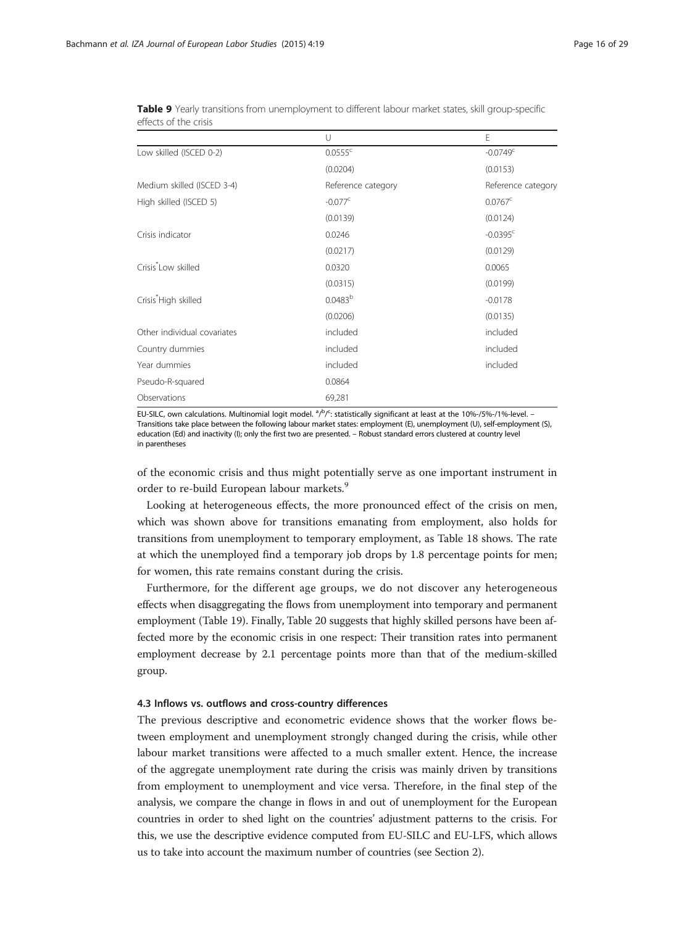|                                  | U                   | E                      |
|----------------------------------|---------------------|------------------------|
| Low skilled (ISCED 0-2)          | $0.0555^c$          | $-0.0749$ <sup>c</sup> |
|                                  | (0.0204)            | (0.0153)               |
| Medium skilled (ISCED 3-4)       | Reference category  | Reference category     |
| High skilled (ISCED 5)           | $-0.077^{\circ}$    | $0.0767^{\circ}$       |
|                                  | (0.0139)            | (0.0124)               |
| Crisis indicator                 | 0.0246              | $-0.0395$ <sup>c</sup> |
|                                  | (0.0217)            | (0.0129)               |
| Crisis <sup>*</sup> Low skilled  | 0.0320              | 0.0065                 |
|                                  | (0.0315)            | (0.0199)               |
| Crisis <sup>*</sup> High skilled | 0.0483 <sup>b</sup> | $-0.0178$              |
|                                  | (0.0206)            | (0.0135)               |
| Other individual covariates      | included            | included               |
| Country dummies                  | included            | included               |
| Year dummies                     | included            | included               |
| Pseudo-R-squared                 | 0.0864              |                        |
| Observations                     | 69,281              |                        |

<span id="page-15-0"></span>Table 9 Yearly transitions from unemployment to different labour market states, skill group-specific effects of the crisis

EU-SILC, own calculations. Multinomial logit model. <sup>a</sup>/b/<sup>c</sup>: statistically significant at least at the 10%-/5%-/1%-level. -Transitions take place between the following labour market states: employment (E), unemployment (U), self-employment (S), education (Ed) and inactivity (I); only the first two are presented. – Robust standard errors clustered at country level in parentheses

of the economic crisis and thus might potentially serve as one important instrument in order to re-build European labour markets.<sup>9</sup>

Looking at heterogeneous effects, the more pronounced effect of the crisis on men, which was shown above for transitions emanating from employment, also holds for transitions from unemployment to temporary employment, as Table [18](#page-21-0) shows. The rate at which the unemployed find a temporary job drops by 1.8 percentage points for men; for women, this rate remains constant during the crisis.

Furthermore, for the different age groups, we do not discover any heterogeneous effects when disaggregating the flows from unemployment into temporary and permanent employment (Table [19](#page-21-0)). Finally, Table [20](#page-22-0) suggests that highly skilled persons have been affected more by the economic crisis in one respect: Their transition rates into permanent employment decrease by 2.1 percentage points more than that of the medium-skilled group.

#### 4.3 Inflows vs. outflows and cross-country differences

The previous descriptive and econometric evidence shows that the worker flows between employment and unemployment strongly changed during the crisis, while other labour market transitions were affected to a much smaller extent. Hence, the increase of the aggregate unemployment rate during the crisis was mainly driven by transitions from employment to unemployment and vice versa. Therefore, in the final step of the analysis, we compare the change in flows in and out of unemployment for the European countries in order to shed light on the countries' adjustment patterns to the crisis. For this, we use the descriptive evidence computed from EU-SILC and EU-LFS, which allows us to take into account the maximum number of countries (see Section [2\)](#page-1-0).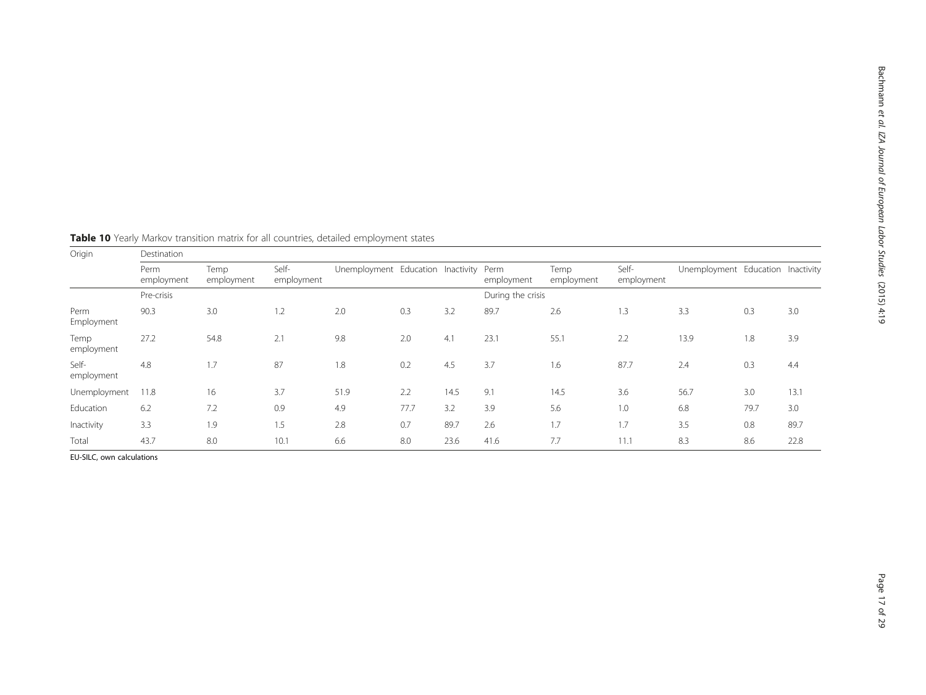| Origin              | Destination        |                    |                     |                                   |      |      |                    |                    |                     |                                   |      |      |
|---------------------|--------------------|--------------------|---------------------|-----------------------------------|------|------|--------------------|--------------------|---------------------|-----------------------------------|------|------|
|                     | Perm<br>employment | Temp<br>employment | Self-<br>employment | Unemployment Education Inactivity |      |      | Perm<br>employment | Temp<br>employment | Self-<br>employment | Unemployment Education Inactivity |      |      |
|                     | Pre-crisis         |                    |                     |                                   |      |      | During the crisis  |                    |                     |                                   |      |      |
| Perm<br>Employment  | 90.3               | 3.0                | 1.2                 | 2.0                               | 0.3  | 3.2  | 89.7               | 2.6                | 1.3                 | 3.3                               | 0.3  | 3.0  |
| Temp<br>employment  | 27.2               | 54.8               | 2.1                 | 9.8                               | 2.0  | 4.1  | 23.1               | 55.1               | 2.2                 | 13.9                              | 1.8  | 3.9  |
| Self-<br>employment | 4.8                | 1.7                | 87                  | 1.8                               | 0.2  | 4.5  | 3.7                | 1.6                | 87.7                | 2.4                               | 0.3  | 4.4  |
| Unemployment        | 11.8               | 16                 | 3.7                 | 51.9                              | 2.2  | 14.5 | 9.1                | 14.5               | 3.6                 | 56.7                              | 3.0  | 13.1 |
| Education           | 6.2                | 7.2                | 0.9                 | 4.9                               | 77.7 | 3.2  | 3.9                | 5.6                | 1.0                 | 6.8                               | 79.7 | 3.0  |
| Inactivity          | 3.3                | 1.9                | 1.5                 | 2.8                               | 0.7  | 89.7 | 2.6                | 1.7                | 1.7                 | 3.5                               | 0.8  | 89.7 |
| Total               | 43.7               | 8.0                | 10.1                | 6.6                               | 8.0  | 23.6 | 41.6               | 7.7                | 11.1                | 8.3                               | 8.6  | 22.8 |

<span id="page-16-0"></span>Table 10 Yearly Markov transition matrix for all countries, detailed employment states

EU-SILC, own calculations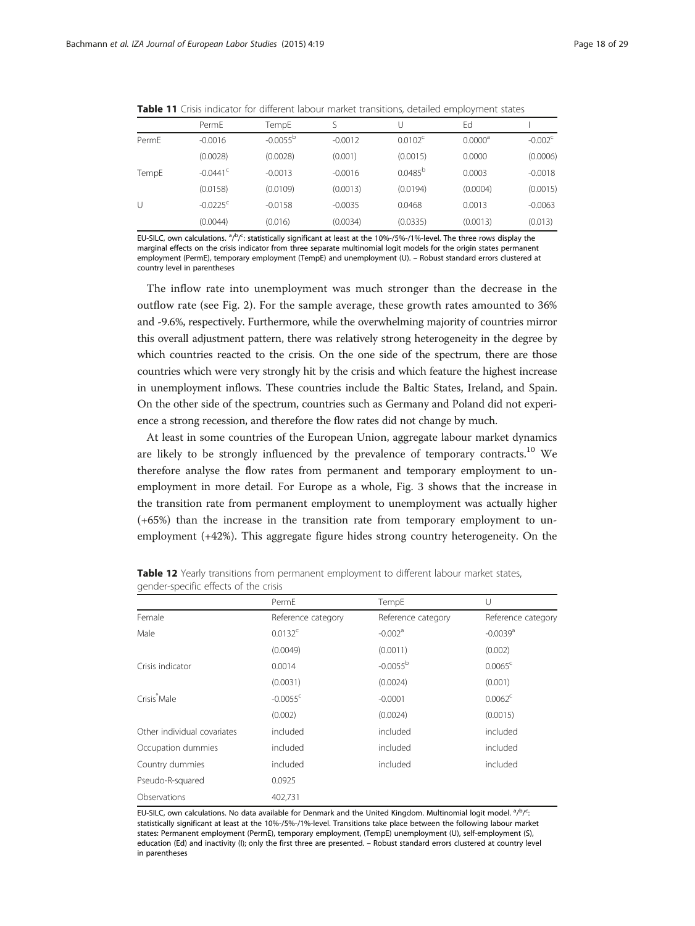|       | PermE                  | TempE         |           |                  | Ed                  |                  |
|-------|------------------------|---------------|-----------|------------------|---------------------|------------------|
| PermE | $-0.0016$              | $-0.0055^{b}$ | $-0.0012$ | $0.0102^{\circ}$ | 0.0000 <sup>a</sup> | $-0.002^{\circ}$ |
|       | (0.0028)               | (0.0028)      | (0.001)   | (0.0015)         | 0.0000              | (0.0006)         |
| TempE | $-0.0441$ <sup>c</sup> | $-0.0013$     | $-0.0016$ | $0.0485^{b}$     | 0.0003              | $-0.0018$        |
|       | (0.0158)               | (0.0109)      | (0.0013)  | (0.0194)         | (0.0004)            | (0.0015)         |
| U     | $-0.0225$ <sup>c</sup> | $-0.0158$     | $-0.0035$ | 0.0468           | 0.0013              | $-0.0063$        |
|       | (0.0044)               | (0.016)       | (0.0034)  | (0.0335)         | (0.0013)            | (0.013)          |
|       |                        |               |           |                  |                     |                  |

<span id="page-17-0"></span>**Table 11** Crisis indicator for different labour market transitions, detailed employment states

EU-SILC, own calculations. <sup>a</sup>/<sup>b</sup>/<sup>c</sup>: statistically significant at least at the 10%-/5%-/1%-level. The three rows display the marginal effects on the crisis indicator from three separate multinomial logit models for the origin states permanent employment (PermE), temporary employment (TempE) and unemployment (U). – Robust standard errors clustered at country level in parentheses

The inflow rate into unemployment was much stronger than the decrease in the outflow rate (see Fig. [2\)](#page-22-0). For the sample average, these growth rates amounted to 36% and -9.6%, respectively. Furthermore, while the overwhelming majority of countries mirror this overall adjustment pattern, there was relatively strong heterogeneity in the degree by which countries reacted to the crisis. On the one side of the spectrum, there are those countries which were very strongly hit by the crisis and which feature the highest increase in unemployment inflows. These countries include the Baltic States, Ireland, and Spain. On the other side of the spectrum, countries such as Germany and Poland did not experience a strong recession, and therefore the flow rates did not change by much.

At least in some countries of the European Union, aggregate labour market dynamics are likely to be strongly influenced by the prevalence of temporary contracts.<sup>10</sup> We therefore analyse the flow rates from permanent and temporary employment to unemployment in more detail. For Europe as a whole, Fig. [3](#page-23-0) shows that the increase in the transition rate from permanent employment to unemployment was actually higher (+65%) than the increase in the transition rate from temporary employment to unemployment (+42%). This aggregate figure hides strong country heterogeneity. On the

|                             | PermE                  | TempE                 | U                      |
|-----------------------------|------------------------|-----------------------|------------------------|
| Female                      | Reference category     | Reference category    | Reference category     |
| Male                        | $0.0132^c$             | $-0.002$ <sup>a</sup> | $-0.0039$ <sup>a</sup> |
|                             | (0.0049)               | (0.0011)              | (0.002)                |
| Crisis indicator            | 0.0014                 | $-0.0055^{b}$         | $0.0065^{\circ}$       |
|                             | (0.0031)               | (0.0024)              | (0.001)                |
| Crisis <sup>*</sup> Male    | $-0.0055$ <sup>c</sup> | $-0.0001$             | $0.0062^c$             |
|                             | (0.002)                | (0.0024)              | (0.0015)               |
| Other individual covariates | included               | included              | included               |
| Occupation dummies          | included               | included              | included               |
| Country dummies             | included               | included              | included               |
| Pseudo-R-squared            | 0.0925                 |                       |                        |
| Observations                | 402,731                |                       |                        |

Table 12 Yearly transitions from permanent employment to different labour market states, gender-specific effects of the crisis

EU-SILC, own calculations. No data available for Denmark and the United Kingdom. Multinomial logit model. <sup>a</sup>/P/<sup>C</sup> : statistically significant at least at the 10%-/5%-/1%-level. Transitions take place between the following labour market states: Permanent employment (PermE), temporary employment, (TempE) unemployment (U), self-employment (S), education (Ed) and inactivity (I); only the first three are presented. – Robust standard errors clustered at country level in parentheses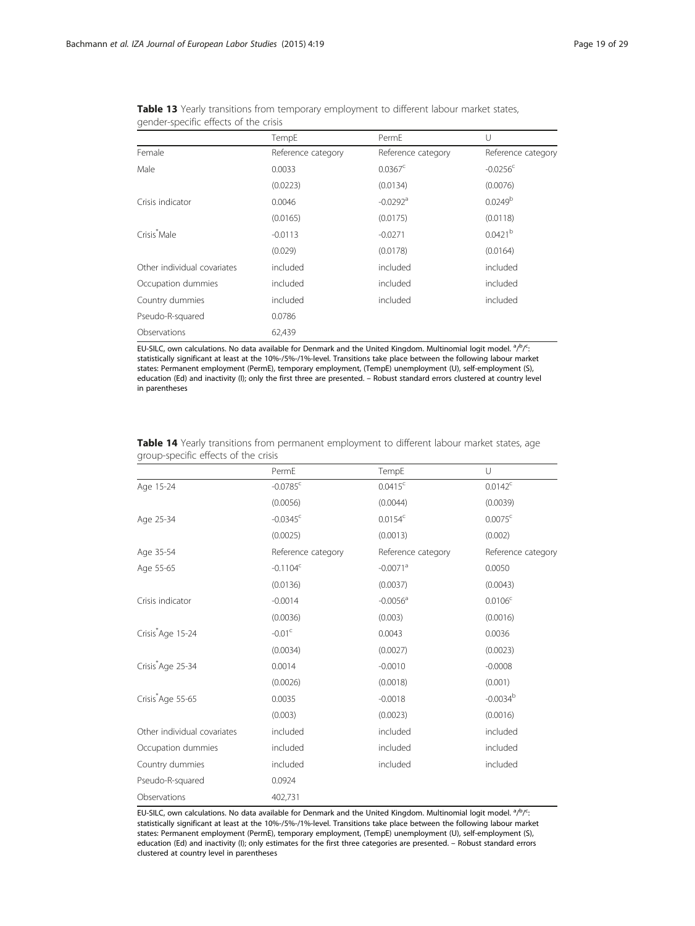|                             | TempE              | PermE                  | U                      |
|-----------------------------|--------------------|------------------------|------------------------|
| Female                      | Reference category | Reference category     | Reference category     |
| Male                        | 0.0033             | $0.0367^{\circ}$       | $-0.0256$ <sup>c</sup> |
|                             | (0.0223)           | (0.0134)               | (0.0076)               |
| Crisis indicator            | 0.0046             | $-0.0292$ <sup>a</sup> | 0.0249 <sup>b</sup>    |
|                             | (0.0165)           | (0.0175)               | (0.0118)               |
| Crisis <sup>*</sup> Male    | $-0.0113$          | $-0.0271$              | $0.0421^{b}$           |
|                             | (0.029)            | (0.0178)               | (0.0164)               |
| Other individual covariates | included           | included               | included               |
| Occupation dummies          | included           | included               | included               |
| Country dummies             | included           | included               | included               |
| Pseudo-R-squared            | 0.0786             |                        |                        |
| Observations                | 62,439             |                        |                        |

<span id="page-18-0"></span>

| Table 13 Yearly transitions from temporary employment to different labour market states, |  |  |  |  |
|------------------------------------------------------------------------------------------|--|--|--|--|
| gender-specific effects of the crisis                                                    |  |  |  |  |

|                               | PermE                  | TempE                  | $\cup$              |
|-------------------------------|------------------------|------------------------|---------------------|
| Age 15-24                     | $-0.0785$ <sup>c</sup> | $0.0415^c$             | $0.0142^c$          |
|                               | (0.0056)               | (0.0044)               | (0.0039)            |
| Age 25-34                     | $-0.0345$ <sup>c</sup> | $0.0154^c$             | $0.0075^{\circ}$    |
|                               | (0.0025)               | (0.0013)               | (0.002)             |
| Age 35-54                     | Reference category     | Reference category     | Reference category  |
| Age 55-65                     | $-0.1104c$             | $-0.0071$ <sup>a</sup> | 0.0050              |
|                               | (0.0136)               | (0.0037)               | (0.0043)            |
| Crisis indicator              | $-0.0014$              | $-0.0056$ <sup>a</sup> | 0.0106 <sup>c</sup> |
|                               | (0.0036)               | (0.003)                | (0.0016)            |
| Crisis <sup>*</sup> Age 15-24 | $-0.01c$               | 0.0043                 | 0.0036              |
|                               | (0.0034)               | (0.0027)               | (0.0023)            |
| Crisis <sup>*</sup> Age 25-34 | 0.0014                 | $-0.0010$              | $-0.0008$           |
|                               | (0.0026)               | (0.0018)               | (0.001)             |
| Crisis <sup>*</sup> Age 55-65 | 0.0035                 | $-0.0018$              | $-0.0034^{b}$       |
|                               | (0.003)                | (0.0023)               | (0.0016)            |
| Other individual covariates   | included               | included               | included            |
| Occupation dummies            | included               | included               | included            |
| Country dummies               | included               | included               | included            |
| Pseudo-R-squared              | 0.0924                 |                        |                     |
| Observations                  | 402,731                |                        |                     |

Table 14 Yearly transitions from permanent employment to different labour market states, age group-specific effects of the crisis

EU-SILC, own calculations. No data available for Denmark and the United Kingdom. Multinomial logit model. <sup>a</sup>/P/<sup>C</sup> : statistically significant at least at the 10%-/5%-/1%-level. Transitions take place between the following labour market states: Permanent employment (PermE), temporary employment, (TempE) unemployment (U), self-employment (S), education (Ed) and inactivity (I); only estimates for the first three categories are presented. – Robust standard errors clustered at country level in parentheses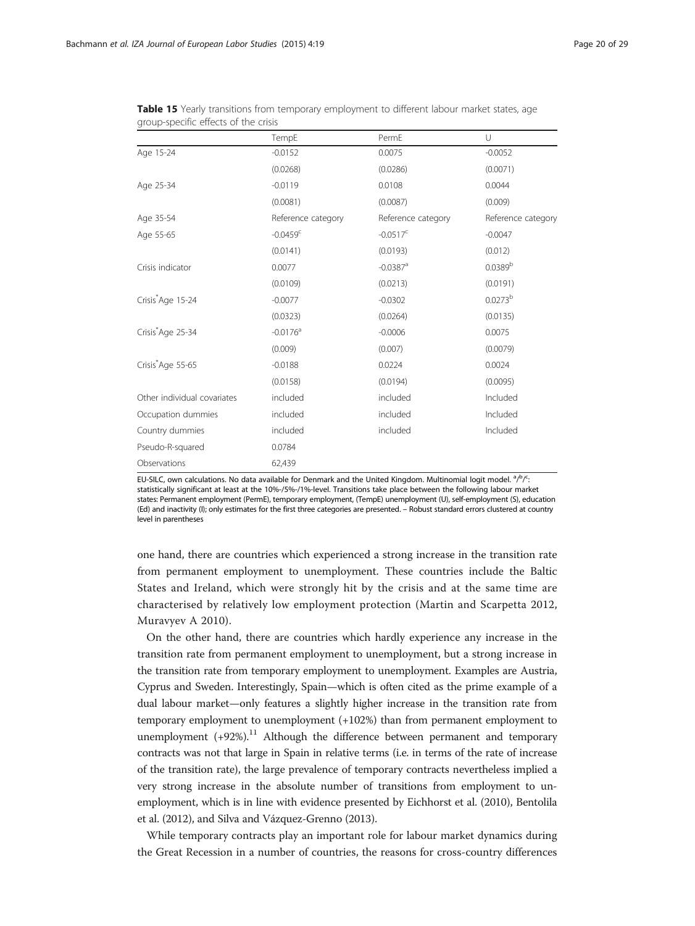|                               |                        | PermE                  | U                   |
|-------------------------------|------------------------|------------------------|---------------------|
|                               | TempE                  |                        |                     |
| Age 15-24                     | $-0.0152$              | 0.0075                 | $-0.0052$           |
|                               | (0.0268)               | (0.0286)               | (0.0071)            |
| Age 25-34                     | $-0.0119$              | 0.0108                 | 0.0044              |
|                               | (0.0081)               | (0.0087)               | (0.009)             |
| Age 35-54                     | Reference category     | Reference category     | Reference category  |
| Age 55-65                     | $-0.0459$ <sup>c</sup> | $-0.0517^c$            | $-0.0047$           |
|                               | (0.0141)               | (0.0193)               | (0.012)             |
| Crisis indicator              | 0.0077                 | $-0.0387$ <sup>a</sup> | 0.0389 <sup>b</sup> |
|                               | (0.0109)               | (0.0213)               | (0.0191)            |
| Crisis <sup>*</sup> Age 15-24 | $-0.0077$              | $-0.0302$              | 0.0273 <sup>b</sup> |
|                               | (0.0323)               | (0.0264)               | (0.0135)            |
| Crisis <sup>*</sup> Age 25-34 | $-0.0176$ <sup>a</sup> | $-0.0006$              | 0.0075              |
|                               | (0.009)                | (0.007)                | (0.0079)            |
| Crisis*Age 55-65              | $-0.0188$              | 0.0224                 | 0.0024              |
|                               | (0.0158)               | (0.0194)               | (0.0095)            |
| Other individual covariates   | included               | included               | Included            |
| Occupation dummies            | included               | included               | Included            |
| Country dummies               | included               | included               | Included            |
| Pseudo-R-squared              | 0.0784                 |                        |                     |
| Observations                  | 62,439                 |                        |                     |

<span id="page-19-0"></span>Table 15 Yearly transitions from temporary employment to different labour market states, age group-specific effects of the crisis

one hand, there are countries which experienced a strong increase in the transition rate from permanent employment to unemployment. These countries include the Baltic States and Ireland, which were strongly hit by the crisis and at the same time are characterised by relatively low employment protection (Martin and Scarpetta [2012](#page-28-0), Muravyev A [2010\)](#page-28-0).

On the other hand, there are countries which hardly experience any increase in the transition rate from permanent employment to unemployment, but a strong increase in the transition rate from temporary employment to unemployment. Examples are Austria, Cyprus and Sweden. Interestingly, Spain—which is often cited as the prime example of a dual labour market—only features a slightly higher increase in the transition rate from temporary employment to unemployment (+102%) than from permanent employment to unemployment  $(+92\%)$ .<sup>11</sup> Although the difference between permanent and temporary contracts was not that large in Spain in relative terms (i.e. in terms of the rate of increase of the transition rate), the large prevalence of temporary contracts nevertheless implied a very strong increase in the absolute number of transitions from employment to unemployment, which is in line with evidence presented by Eichhorst et al. [\(2010](#page-28-0)), Bentolila et al. [\(2012](#page-27-0)), and Silva and Vázquez-Grenno [\(2013](#page-28-0)).

While temporary contracts play an important role for labour market dynamics during the Great Recession in a number of countries, the reasons for cross-country differences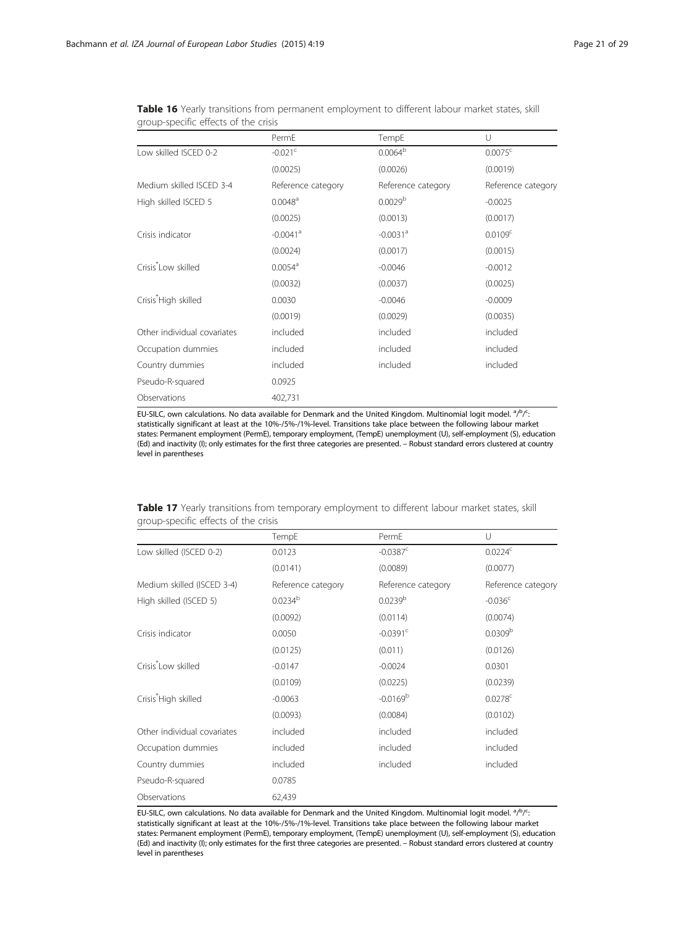|                                  | PermE                  | TempE                  | U                   |  |
|----------------------------------|------------------------|------------------------|---------------------|--|
| Low skilled ISCED 0-2            | $-0.021$ <sup>c</sup>  | $0.0064^b$             | $0.0075^{\circ}$    |  |
|                                  | (0.0025)               | (0.0026)               | (0.0019)            |  |
| Medium skilled ISCED 3-4         | Reference category     | Reference category     | Reference category  |  |
| High skilled ISCED 5             | $0.0048^a$             | 0.0029 <sup>b</sup>    | $-0.0025$           |  |
|                                  | (0.0025)               | (0.0013)               | (0.0017)            |  |
| Crisis indicator                 | $-0.0041$ <sup>a</sup> | $-0.0031$ <sup>a</sup> | 0.0109 <sup>c</sup> |  |
|                                  | (0.0024)               | (0.0017)               | (0.0015)            |  |
| Crisis <sup>*</sup> Low skilled  | $0.0054$ <sup>a</sup>  | $-0.0046$              | $-0.0012$           |  |
|                                  | (0.0032)               | (0.0037)               | (0.0025)            |  |
| Crisis <sup>*</sup> High skilled | 0.0030                 | $-0.0046$              | $-0.0009$           |  |
|                                  | (0.0019)               | (0.0029)               | (0.0035)            |  |
| Other individual covariates      | included               | included               | included            |  |
| Occupation dummies               | included               | included               | included            |  |
| Country dummies                  | included               | included               | included            |  |
| Pseudo-R-squared                 | 0.0925                 |                        |                     |  |
| Observations                     | 402,731                |                        |                     |  |

<span id="page-20-0"></span>Table 16 Yearly transitions from permanent employment to different labour market states, skill group-specific effects of the crisis

|  |                                      |  | Table 17 Yearly transitions from temporary employment to different labour market states, skill |  |  |  |
|--|--------------------------------------|--|------------------------------------------------------------------------------------------------|--|--|--|
|  | group-specific effects of the crisis |  |                                                                                                |  |  |  |

|                                  | TempE              | PermE                  | U                     |
|----------------------------------|--------------------|------------------------|-----------------------|
| Low skilled (ISCED 0-2)          | 0.0123             | $-0.0387$ <sup>c</sup> | 0.0224c               |
|                                  | (0.0141)           | (0.0089)               | (0.0077)              |
| Medium skilled (ISCED 3-4)       | Reference category | Reference category     | Reference category    |
| High skilled (ISCED 5)           | $0.0234^{b}$       | 0.0239 <sup>b</sup>    | $-0.036$ <sup>c</sup> |
|                                  | (0.0092)           | (0.0114)               | (0.0074)              |
| Crisis indicator                 | 0.0050             | $-0.0391$ <sup>c</sup> | 0.0309 <sup>b</sup>   |
|                                  | (0.0125)           | (0.011)                | (0.0126)              |
| Crisis <sup>*</sup> Low skilled  | $-0.0147$          | $-0.0024$              | 0.0301                |
|                                  | (0.0109)           | (0.0225)               | (0.0239)              |
| Crisis <sup>*</sup> High skilled | $-0.0063$          | $-0.0169b$             | $0.0278$ <sup>c</sup> |
|                                  | (0.0093)           | (0.0084)               | (0.0102)              |
| Other individual covariates      | included           | included               | included              |
| Occupation dummies               | included           | included               | included              |
| Country dummies                  | included           | included               | included              |
| Pseudo-R-squared                 | 0.0785             |                        |                       |
| Observations                     | 62,439             |                        |                       |

EU-SILC, own calculations. No data available for Denmark and the United Kingdom. Multinomial logit model. <sup>a</sup>/P/<sup>C</sup> : statistically significant at least at the 10%-/5%-/1%-level. Transitions take place between the following labour market states: Permanent employment (PermE), temporary employment, (TempE) unemployment (U), self-employment (S), education (Ed) and inactivity (I); only estimates for the first three categories are presented. – Robust standard errors clustered at country level in parentheses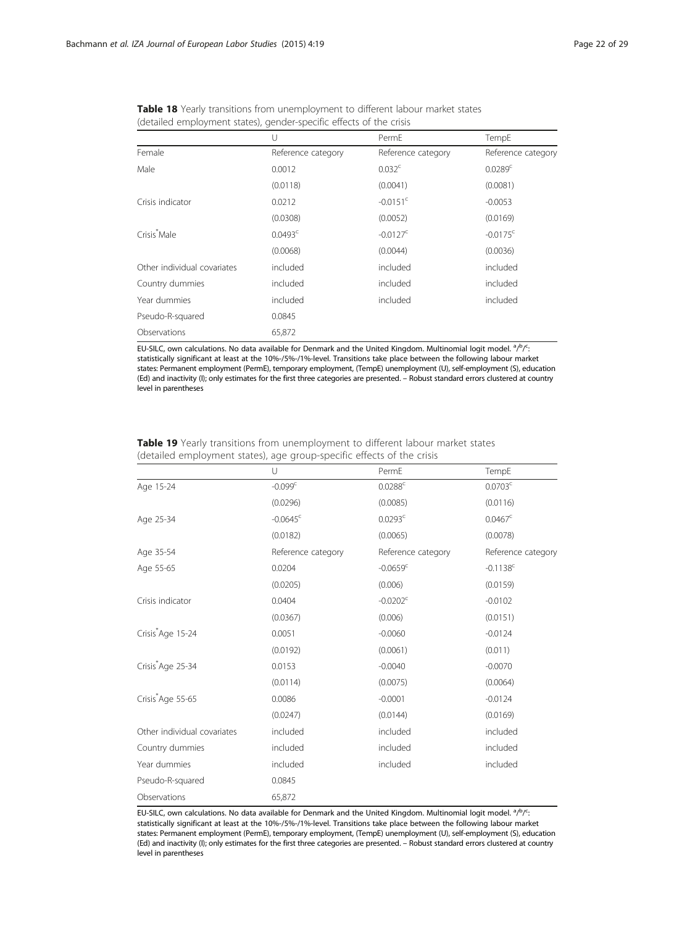|                             | U                  | PermF                  | TempE                  |
|-----------------------------|--------------------|------------------------|------------------------|
| Female                      | Reference category | Reference category     | Reference category     |
| Male                        | 0.0012             | 0.032 <sup>c</sup>     | 0.0289c                |
|                             | (0.0118)           | (0.0041)               | (0.0081)               |
| Crisis indicator            | 0.0212             | $-0.0151$ <sup>c</sup> | $-0.0053$              |
|                             | (0.0308)           | (0.0052)               | (0.0169)               |
| Crisis Male                 | $0.0493^c$         | $-0.0127^{\circ}$      | $-0.0175$ <sup>c</sup> |
|                             | (0.0068)           | (0.0044)               | (0.0036)               |
| Other individual covariates | included           | included               | included               |
| Country dummies             | included           | included               | included               |
| Year dummies                | included           | included               | included               |
| Pseudo-R-squared            | 0.0845             |                        |                        |
| Observations                | 65,872             |                        |                        |

<span id="page-21-0"></span>

| <b>Table 18</b> Yearly transitions from unemployment to different labour market states |  |
|----------------------------------------------------------------------------------------|--|
| (detailed employment states), gender-specific effects of the crisis                    |  |

|                               | U                      | PermE                  | TempE                  |
|-------------------------------|------------------------|------------------------|------------------------|
| Age 15-24                     | $-0.099c$              | $0.0288^c$             | 0.0703 <sup>c</sup>    |
|                               | (0.0296)               | (0.0085)               | (0.0116)               |
| Age 25-34                     | $-0.0645$ <sup>c</sup> | 0.0293 <sup>c</sup>    | $0.0467^c$             |
|                               | (0.0182)               | (0.0065)               | (0.0078)               |
| Age 35-54                     | Reference category     | Reference category     | Reference category     |
| Age 55-65                     | 0.0204                 | $-0.0659$ <sup>c</sup> | $-0.1138$ <sup>c</sup> |
|                               | (0.0205)               | (0.006)                | (0.0159)               |
| Crisis indicator              | 0.0404                 | $-0.0202$ <sup>c</sup> | $-0.0102$              |
|                               | (0.0367)               | (0.006)                | (0.0151)               |
| Crisis <sup>*</sup> Age 15-24 | 0.0051                 | $-0.0060$              | $-0.0124$              |
|                               | (0.0192)               | (0.0061)               | (0.011)                |
| Crisis Age 25-34              | 0.0153                 | $-0.0040$              | $-0.0070$              |
|                               | (0.0114)               | (0.0075)               | (0.0064)               |
| Crisis*Age 55-65              | 0.0086                 | $-0.0001$              | $-0.0124$              |
|                               | (0.0247)               | (0.0144)               | (0.0169)               |
| Other individual covariates   | included               | included               | included               |
| Country dummies               | included               | included               | included               |
| Year dummies                  | included               | included               | included               |
| Pseudo-R-squared              | 0.0845                 |                        |                        |
| Observations                  | 65,872                 |                        |                        |

Table 19 Yearly transitions from unemployment to different labour market states (detailed employment states), age group-specific effects of the crisis

EU-SILC, own calculations. No data available for Denmark and the United Kingdom. Multinomial logit model. <sup>a</sup>/P/<sup>C</sup> : statistically significant at least at the 10%-/5%-/1%-level. Transitions take place between the following labour market states: Permanent employment (PermE), temporary employment, (TempE) unemployment (U), self-employment (S), education (Ed) and inactivity (I); only estimates for the first three categories are presented. – Robust standard errors clustered at country level in parentheses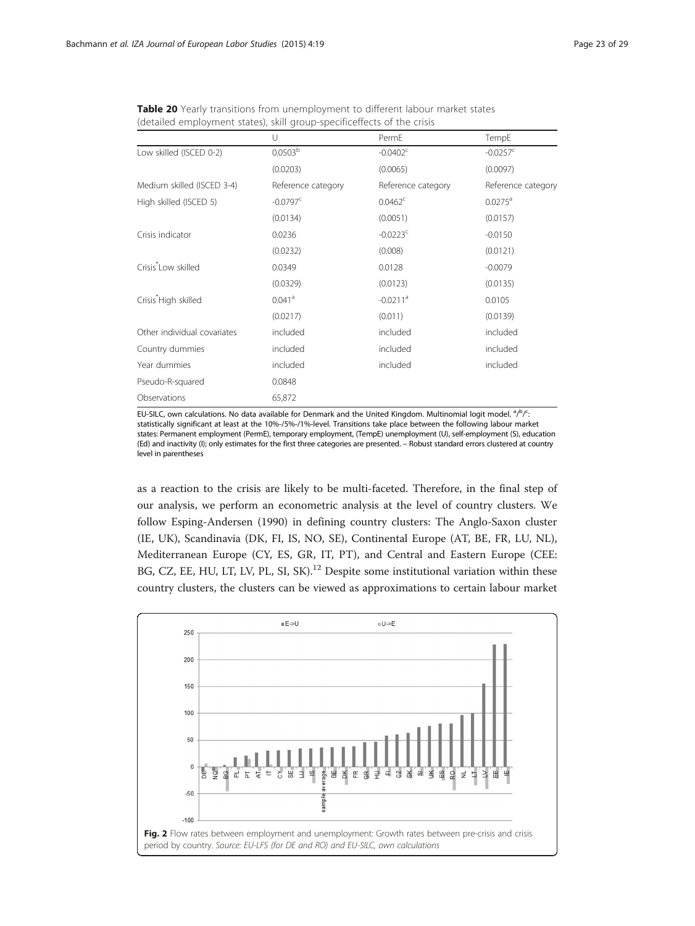|                                  | U                      | PermE                  | TempE                  |
|----------------------------------|------------------------|------------------------|------------------------|
| Low skilled (ISCED 0-2)          | 0.0503 <sup>b</sup>    | $-0.0402^{\circ}$      | $-0.0257$ <sup>c</sup> |
|                                  | (0.0203)               | (0.0065)               | (0.0097)               |
| Medium skilled (ISCED 3-4)       | Reference category     | Reference category     | Reference category     |
| High skilled (ISCED 5)           | $-0.0797$ <sup>c</sup> | $0.0462^c$             | $0.0275^a$             |
|                                  | (0.0134)               | (0.0051)               | (0.0157)               |
| Crisis indicator                 | 0.0236                 | $-0.0223$ <sup>c</sup> | $-0.0150$              |
|                                  | (0.0232)               | (0.008)                | (0.0121)               |
| Crisis <sup>*</sup> Low skilled  | 0.0349                 | 0.0128                 | $-0.0079$              |
|                                  | (0.0329)               | (0.0123)               | (0.0135)               |
| Crisis <sup>*</sup> High skilled | $0.041$ <sup>a</sup>   | $-0.0211$ <sup>a</sup> | 0.0105                 |
|                                  | (0.0217)               | (0.011)                | (0.0139)               |
| Other individual covariates      | included               | included               | included               |
| Country dummies                  | included               | included               | included               |
| Year dummies                     | included               | included               | included               |
| Pseudo-R-squared                 | 0.0848                 |                        |                        |
| Observations                     | 65,872                 |                        |                        |

<span id="page-22-0"></span>Table 20 Yearly transitions from unemployment to different labour market states (detailed employment states), skill group-specificeffects of the crisis

as a reaction to the crisis are likely to be multi-faceted. Therefore, in the final step of our analysis, we perform an econometric analysis at the level of country clusters. We follow Esping-Andersen [\(1990\)](#page-28-0) in defining country clusters: The Anglo-Saxon cluster (IE, UK), Scandinavia (DK, FI, IS, NO, SE), Continental Europe (AT, BE, FR, LU, NL), Mediterranean Europe (CY, ES, GR, IT, PT), and Central and Eastern Europe (CEE: BG, CZ, EE, HU, LT, LV, PL, SI, SK).<sup>12</sup> Despite some institutional variation within these country clusters, the clusters can be viewed as approximations to certain labour market

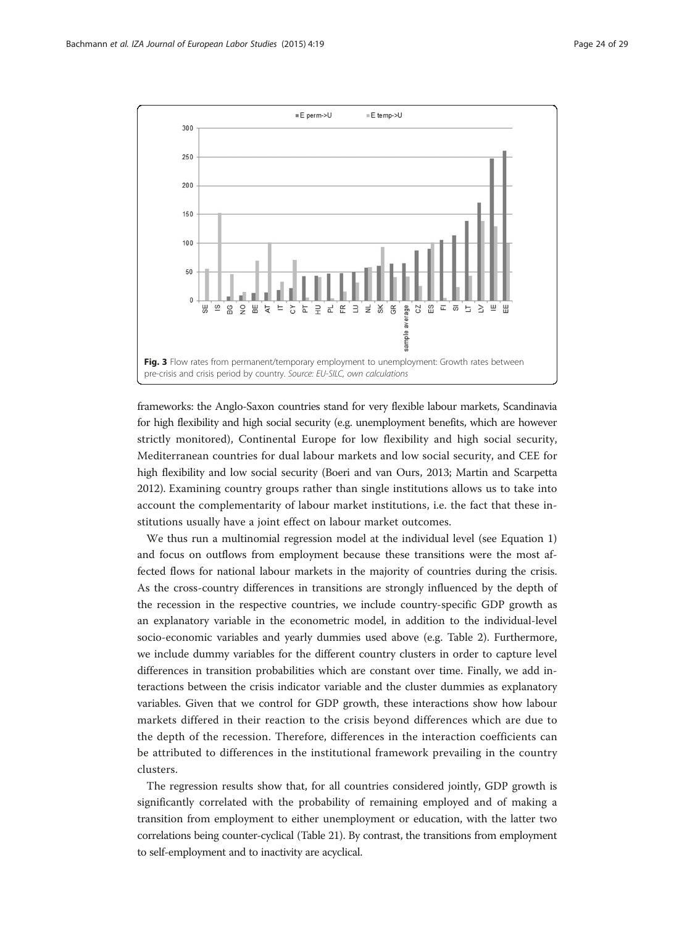<span id="page-23-0"></span>

frameworks: the Anglo-Saxon countries stand for very flexible labour markets, Scandinavia for high flexibility and high social security (e.g. unemployment benefits, which are however strictly monitored), Continental Europe for low flexibility and high social security, Mediterranean countries for dual labour markets and low social security, and CEE for high flexibility and low social security (Boeri and van Ours, [2013;](#page-27-0) Martin and Scarpetta [2012\)](#page-28-0). Examining country groups rather than single institutions allows us to take into account the complementarity of labour market institutions, i.e. the fact that these institutions usually have a joint effect on labour market outcomes.

We thus run a multinomial regression model at the individual level (see Equation [1](#page-4-0)) and focus on outflows from employment because these transitions were the most affected flows for national labour markets in the majority of countries during the crisis. As the cross-country differences in transitions are strongly influenced by the depth of the recession in the respective countries, we include country-specific GDP growth as an explanatory variable in the econometric model, in addition to the individual-level socio-economic variables and yearly dummies used above (e.g. Table [2](#page-8-0)). Furthermore, we include dummy variables for the different country clusters in order to capture level differences in transition probabilities which are constant over time. Finally, we add interactions between the crisis indicator variable and the cluster dummies as explanatory variables. Given that we control for GDP growth, these interactions show how labour markets differed in their reaction to the crisis beyond differences which are due to the depth of the recession. Therefore, differences in the interaction coefficients can be attributed to differences in the institutional framework prevailing in the country clusters.

The regression results show that, for all countries considered jointly, GDP growth is significantly correlated with the probability of remaining employed and of making a transition from employment to either unemployment or education, with the latter two correlations being counter-cyclical (Table [21\)](#page-24-0). By contrast, the transitions from employment to self-employment and to inactivity are acyclical.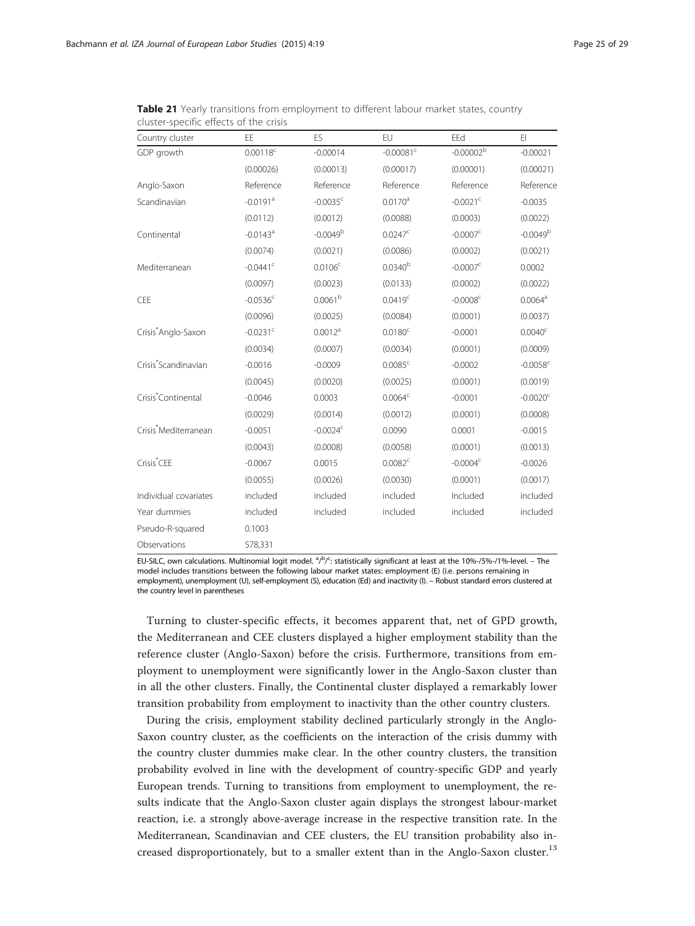| Country cluster                   | EE                     | ES                     | EU                      | EEd                    | E1               |
|-----------------------------------|------------------------|------------------------|-------------------------|------------------------|------------------|
| GDP growth                        | $0.00118^c$            | $-0.00014$             | $-0.00081$ <sup>c</sup> | $-0.00002^{b}$         | $-0.00021$       |
|                                   | (0.00026)              | (0.00013)              | (0.00017)               | (0.00001)              | (0.00021)        |
| Anglo-Saxon                       | Reference              | Reference              | Reference               | Reference              | Reference        |
| Scandinavian                      | $-0.0191$ <sup>a</sup> | $-0.0035$ <sup>c</sup> | $0.0170^a$              | $-0.0021$ <sup>c</sup> | $-0.0035$        |
|                                   | (0.0112)               | (0.0012)               | (0.0088)                | (0.0003)               | (0.0022)         |
| Continental                       | $-0.0143$ <sup>a</sup> | $-0.0049b$             | $0.0247^c$              | $-0.0007^{\circ}$      | $-0.0049b$       |
|                                   | (0.0074)               | (0.0021)               | (0.0086)                | (0.0002)               | (0.0021)         |
| Mediterranean                     | $-0.0441$ <sup>c</sup> | 0.0106 <sup>c</sup>    | $0.0340^{b}$            | $-0.0007c$             | 0.0002           |
|                                   | (0.0097)               | (0.0023)               | (0.0133)                | (0.0002)               | (0.0022)         |
| CEE                               | $-0.0536$ <sup>c</sup> | 0.0061 <sup>b</sup>    | 0.0419 <sup>c</sup>     | $-0.0008$ <sup>c</sup> | $0.0064^a$       |
|                                   | (0.0096)               | (0.0025)               | (0.0084)                | (0.0001)               | (0.0037)         |
| Crisis*Anglo-Saxon                | $-0.0231$ <sup>c</sup> | $0.0012^a$             | 0.0180 <sup>c</sup>     | $-0.0001$              | $0.0040^{\circ}$ |
|                                   | (0.0034)               | (0.0007)               | (0.0034)                | (0.0001)               | (0.0009)         |
| Crisis*Scandinavian               | $-0.0016$              | $-0.0009$              | 0.0085 <sup>c</sup>     | $-0.0002$              | $-0.0058c$       |
|                                   | (0.0045)               | (0.0020)               | (0.0025)                | (0.0001)               | (0.0019)         |
| Crisis <sup>*</sup> Continental   | $-0.0046$              | 0.0003                 | 0.0064 <sup>c</sup>     | $-0.0001$              | $-0.0020c$       |
|                                   | (0.0029)               | (0.0014)               | (0.0012)                | (0.0001)               | (0.0008)         |
| Crisis <sup>*</sup> Mediterranean | $-0.0051$              | $-0.0024c$             | 0.0090                  | 0.0001                 | $-0.0015$        |
|                                   | (0.0043)               | (0.0008)               | (0.0058)                | (0.0001)               | (0.0013)         |
| Crisis <sup>*</sup> CEE           | $-0.0067$              | 0.0015                 | 0.0082 <sup>c</sup>     | $-0.0004c$             | $-0.0026$        |
|                                   | (0.0055)               | (0.0026)               | (0.0030)                | (0.0001)               | (0.0017)         |
| Individual covariates             | included               | included               | included                | Included               | included         |
| Year dummies                      | included               | included               | included                | included               | included         |
| Pseudo-R-squared                  | 0.1003                 |                        |                         |                        |                  |
| Observations                      | 578,331                |                        |                         |                        |                  |

<span id="page-24-0"></span>Table 21 Yearly transitions from employment to different labour market states, country cluster-specific effects of the crisis

EU-SILC, own calculations. Multinomial logit model.  $a/b/c$ : statistically significant at least at the 10%-/5%-/1%-level. – The model includes transitions between the following labour market states: employment (E) (i.e. persons remaining in employment), unemployment (U), self-employment (S), education (Ed) and inactivity (I). – Robust standard errors clustered at the country level in parentheses

Turning to cluster-specific effects, it becomes apparent that, net of GPD growth, the Mediterranean and CEE clusters displayed a higher employment stability than the reference cluster (Anglo-Saxon) before the crisis. Furthermore, transitions from employment to unemployment were significantly lower in the Anglo-Saxon cluster than in all the other clusters. Finally, the Continental cluster displayed a remarkably lower transition probability from employment to inactivity than the other country clusters.

During the crisis, employment stability declined particularly strongly in the Anglo-Saxon country cluster, as the coefficients on the interaction of the crisis dummy with the country cluster dummies make clear. In the other country clusters, the transition probability evolved in line with the development of country-specific GDP and yearly European trends. Turning to transitions from employment to unemployment, the results indicate that the Anglo-Saxon cluster again displays the strongest labour-market reaction, i.e. a strongly above-average increase in the respective transition rate. In the Mediterranean, Scandinavian and CEE clusters, the EU transition probability also increased disproportionately, but to a smaller extent than in the Anglo-Saxon cluster.<sup>13</sup>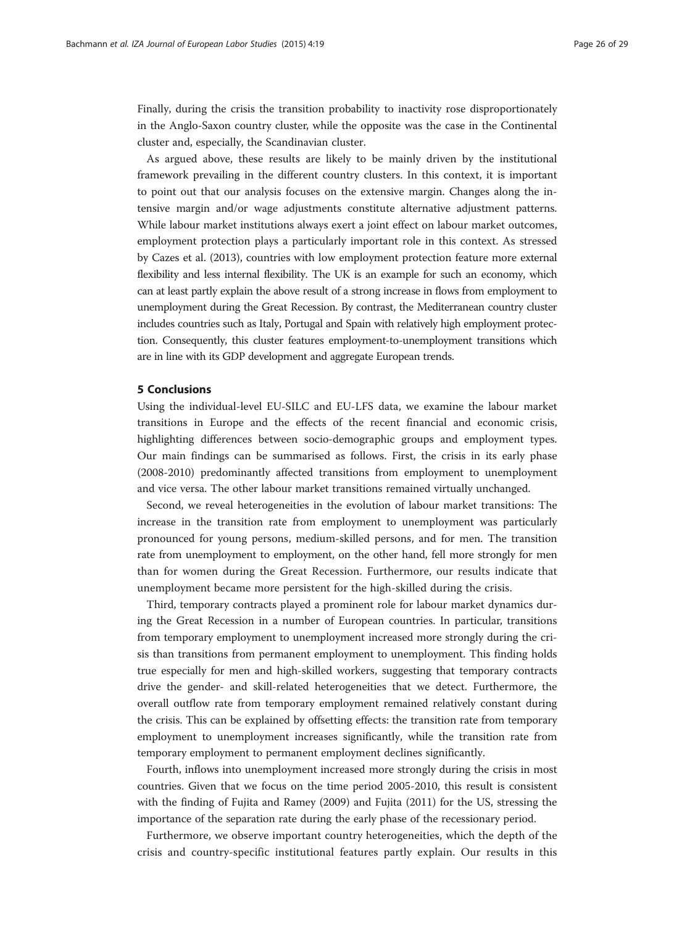Finally, during the crisis the transition probability to inactivity rose disproportionately in the Anglo-Saxon country cluster, while the opposite was the case in the Continental cluster and, especially, the Scandinavian cluster.

As argued above, these results are likely to be mainly driven by the institutional framework prevailing in the different country clusters. In this context, it is important to point out that our analysis focuses on the extensive margin. Changes along the intensive margin and/or wage adjustments constitute alternative adjustment patterns. While labour market institutions always exert a joint effect on labour market outcomes, employment protection plays a particularly important role in this context. As stressed by Cazes et al. ([2013\)](#page-27-0), countries with low employment protection feature more external flexibility and less internal flexibility. The UK is an example for such an economy, which can at least partly explain the above result of a strong increase in flows from employment to unemployment during the Great Recession. By contrast, the Mediterranean country cluster includes countries such as Italy, Portugal and Spain with relatively high employment protection. Consequently, this cluster features employment-to-unemployment transitions which are in line with its GDP development and aggregate European trends.

#### 5 Conclusions

Using the individual-level EU-SILC and EU-LFS data, we examine the labour market transitions in Europe and the effects of the recent financial and economic crisis, highlighting differences between socio-demographic groups and employment types. Our main findings can be summarised as follows. First, the crisis in its early phase (2008-2010) predominantly affected transitions from employment to unemployment and vice versa. The other labour market transitions remained virtually unchanged.

Second, we reveal heterogeneities in the evolution of labour market transitions: The increase in the transition rate from employment to unemployment was particularly pronounced for young persons, medium-skilled persons, and for men. The transition rate from unemployment to employment, on the other hand, fell more strongly for men than for women during the Great Recession. Furthermore, our results indicate that unemployment became more persistent for the high-skilled during the crisis.

Third, temporary contracts played a prominent role for labour market dynamics during the Great Recession in a number of European countries. In particular, transitions from temporary employment to unemployment increased more strongly during the crisis than transitions from permanent employment to unemployment. This finding holds true especially for men and high-skilled workers, suggesting that temporary contracts drive the gender- and skill-related heterogeneities that we detect. Furthermore, the overall outflow rate from temporary employment remained relatively constant during the crisis. This can be explained by offsetting effects: the transition rate from temporary employment to unemployment increases significantly, while the transition rate from temporary employment to permanent employment declines significantly.

Fourth, inflows into unemployment increased more strongly during the crisis in most countries. Given that we focus on the time period 2005-2010, this result is consistent with the finding of Fujita and Ramey [\(2009\)](#page-28-0) and Fujita [\(2011\)](#page-28-0) for the US, stressing the importance of the separation rate during the early phase of the recessionary period.

Furthermore, we observe important country heterogeneities, which the depth of the crisis and country-specific institutional features partly explain. Our results in this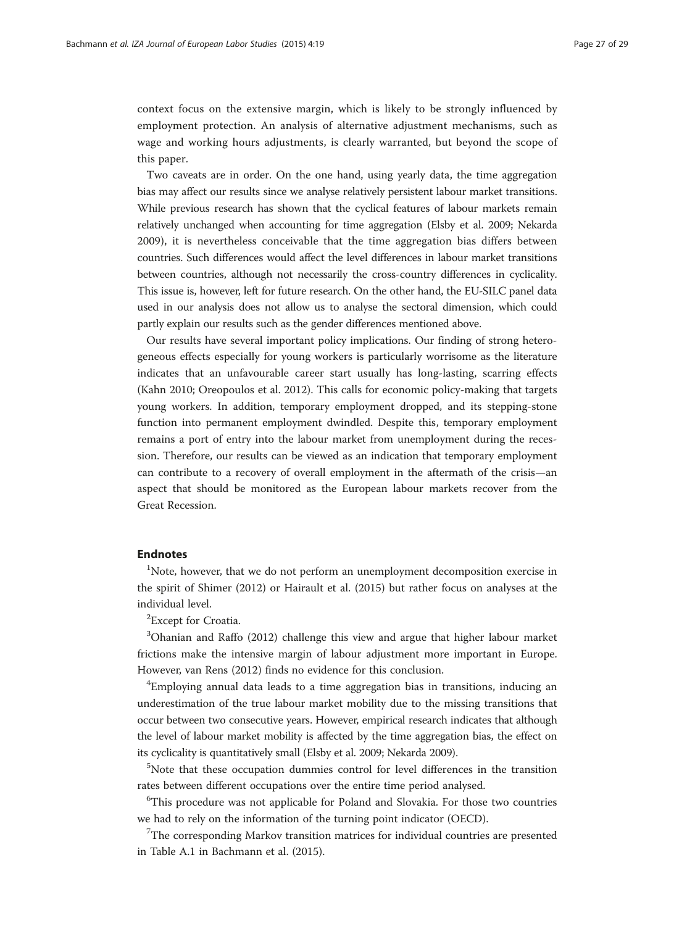context focus on the extensive margin, which is likely to be strongly influenced by employment protection. An analysis of alternative adjustment mechanisms, such as wage and working hours adjustments, is clearly warranted, but beyond the scope of this paper.

Two caveats are in order. On the one hand, using yearly data, the time aggregation bias may affect our results since we analyse relatively persistent labour market transitions. While previous research has shown that the cyclical features of labour markets remain relatively unchanged when accounting for time aggregation (Elsby et al. [2009;](#page-28-0) Nekarda [2009\)](#page-28-0), it is nevertheless conceivable that the time aggregation bias differs between countries. Such differences would affect the level differences in labour market transitions between countries, although not necessarily the cross-country differences in cyclicality. This issue is, however, left for future research. On the other hand, the EU-SILC panel data used in our analysis does not allow us to analyse the sectoral dimension, which could partly explain our results such as the gender differences mentioned above.

Our results have several important policy implications. Our finding of strong heterogeneous effects especially for young workers is particularly worrisome as the literature indicates that an unfavourable career start usually has long-lasting, scarring effects (Kahn [2010](#page-28-0); Oreopoulos et al. [2012](#page-28-0)). This calls for economic policy-making that targets young workers. In addition, temporary employment dropped, and its stepping-stone function into permanent employment dwindled. Despite this, temporary employment remains a port of entry into the labour market from unemployment during the recession. Therefore, our results can be viewed as an indication that temporary employment can contribute to a recovery of overall employment in the aftermath of the crisis—an aspect that should be monitored as the European labour markets recover from the Great Recession.

#### Endnotes

<sup>1</sup>Note, however, that we do not perform an unemployment decomposition exercise in the spirit of Shimer [\(2012\)](#page-28-0) or Hairault et al. [\(2015\)](#page-28-0) but rather focus on analyses at the individual level.

<sup>2</sup> Except for Croatia.

<sup>3</sup>Ohanian and Raffo [\(2012\)](#page-28-0) challenge this view and argue that higher labour market frictions make the intensive margin of labour adjustment more important in Europe. However, van Rens ([2012](#page-28-0)) finds no evidence for this conclusion.

<sup>4</sup>Employing annual data leads to a time aggregation bias in transitions, inducing an underestimation of the true labour market mobility due to the missing transitions that occur between two consecutive years. However, empirical research indicates that although the level of labour market mobility is affected by the time aggregation bias, the effect on its cyclicality is quantitatively small (Elsby et al. [2009](#page-28-0); Nekarda [2009](#page-28-0)).

5 Note that these occupation dummies control for level differences in the transition rates between different occupations over the entire time period analysed.

<sup>6</sup>This procedure was not applicable for Poland and Slovakia. For those two countries we had to rely on the information of the turning point indicator (OECD).

<sup>7</sup>The corresponding Markov transition matrices for individual countries are presented in Table A.1 in Bachmann et al. ([2015](#page-27-0)).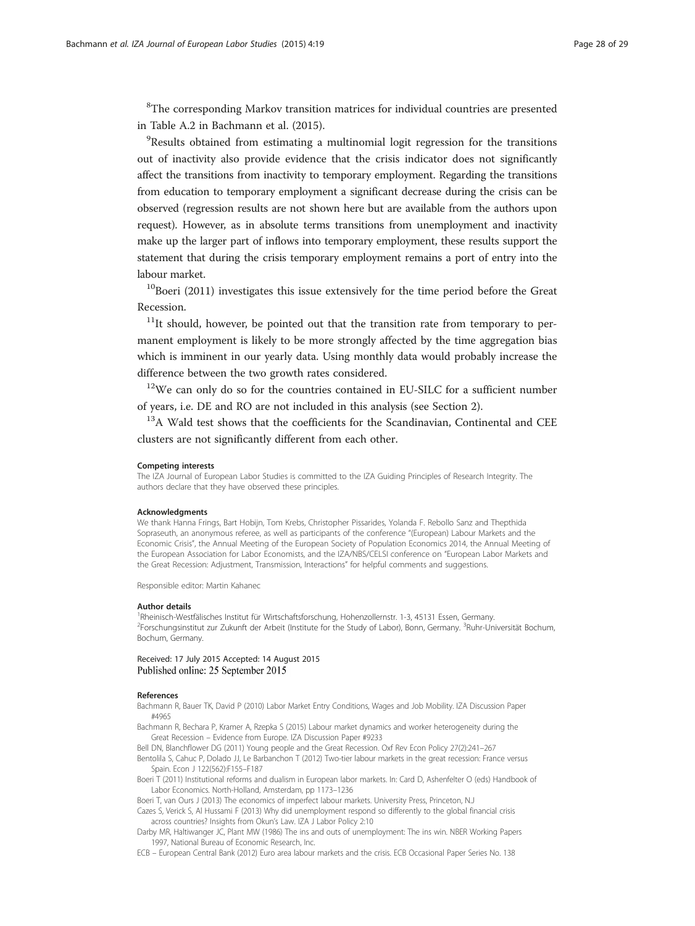<span id="page-27-0"></span><sup>8</sup>The corresponding Markov transition matrices for individual countries are presented in Table A.2 in Bachmann et al. (2015).

<sup>9</sup>Results obtained from estimating a multinomial logit regression for the transitions out of inactivity also provide evidence that the crisis indicator does not significantly affect the transitions from inactivity to temporary employment. Regarding the transitions from education to temporary employment a significant decrease during the crisis can be observed (regression results are not shown here but are available from the authors upon request). However, as in absolute terms transitions from unemployment and inactivity make up the larger part of inflows into temporary employment, these results support the statement that during the crisis temporary employment remains a port of entry into the labour market.

 $10B$ oeri (2011) investigates this issue extensively for the time period before the Great Recession.

 $11$ It should, however, be pointed out that the transition rate from temporary to permanent employment is likely to be more strongly affected by the time aggregation bias which is imminent in our yearly data. Using monthly data would probably increase the difference between the two growth rates considered.

 $12$ We can only do so for the countries contained in EU-SILC for a sufficient number of years, i.e. DE and RO are not included in this analysis (see Section [2\)](#page-1-0).

<sup>13</sup>A Wald test shows that the coefficients for the Scandinavian, Continental and CEE clusters are not significantly different from each other.

#### Competing interests

The IZA Journal of European Labor Studies is committed to the IZA Guiding Principles of Research Integrity. The authors declare that they have observed these principles.

#### Acknowledgments

We thank Hanna Frings, Bart Hobijn, Tom Krebs, Christopher Pissarides, Yolanda F. Rebollo Sanz and Thepthida Sopraseuth, an anonymous referee, as well as participants of the conference "(European) Labour Markets and the Economic Crisis", the Annual Meeting of the European Society of Population Economics 2014, the Annual Meeting of the European Association for Labor Economists, and the IZA/NBS/CELSI conference on "European Labor Markets and the Great Recession: Adjustment, Transmission, Interactions" for helpful comments and suggestions.

Responsible editor: Martin Kahanec

#### Author details

<sup>1</sup>Rheinisch-Westfälisches Institut für Wirtschaftsforschung, Hohenzollernstr. 1-3, 45131 Essen, Germany. <sup>2</sup>Forschungsinstitut zur Zukunft der Arbeit (Institute for the Study of Labor), Bonn, Germany. <sup>3</sup>Ruhr-Universität Bochum, Bochum, Germany.

Received: 17 July 2015 Accepted: 14 August 2015 Published online: 25 September 2015

#### References

Bachmann R, Bauer TK, David P (2010) Labor Market Entry Conditions, Wages and Job Mobility. IZA Discussion Paper #4965

Bachmann R, Bechara P, Kramer A, Rzepka S (2015) Labour market dynamics and worker heterogeneity during the Great Recession – Evidence from Europe. IZA Discussion Paper #9233

Bell DN, Blanchflower DG (2011) Young people and the Great Recession. Oxf Rev Econ Policy 27(2):241–267

Bentolila S, Cahuc P, Dolado JJ, Le Barbanchon T (2012) Two-tier labour markets in the great recession: France versus Spain. Econ J 122(562):F155–F187

Boeri T (2011) Institutional reforms and dualism in European labor markets. In: Card D, Ashenfelter O (eds) Handbook of Labor Economics. North-Holland, Amsterdam, pp 1173–1236

Boeri T, van Ours J (2013) The economics of imperfect labour markets. University Press, Princeton, N.J

Cazes S, Verick S, Al Hussami F (2013) Why did unemployment respond so differently to the global financial crisis across countries? Insights from Okun's Law. IZA J Labor Policy 2:10

Darby MR, Haltiwanger JC, Plant MW (1986) The ins and outs of unemployment: The ins win. NBER Working Papers 1997, National Bureau of Economic Research, Inc.

ECB – European Central Bank (2012) Euro area labour markets and the crisis. ECB Occasional Paper Series No. 138